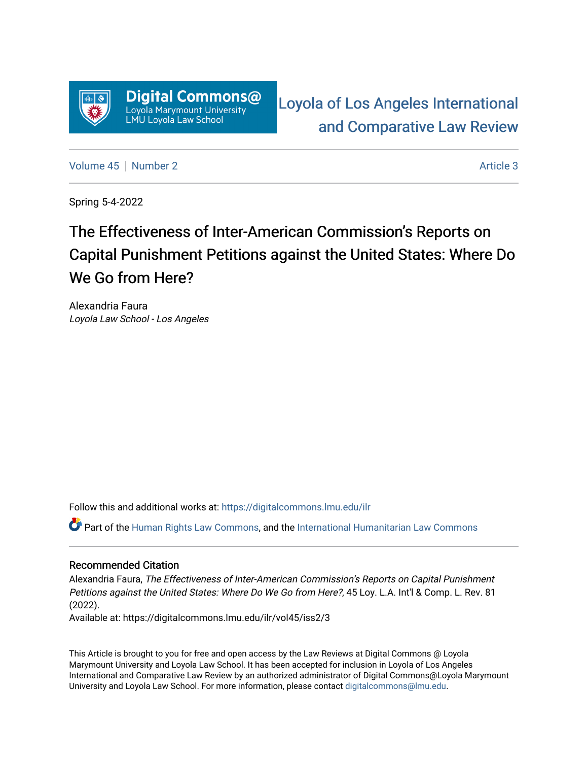

[Loyola of Los Angeles International](https://digitalcommons.lmu.edu/ilr)  [and Comparative Law Review](https://digitalcommons.lmu.edu/ilr) 

[Volume 45](https://digitalcommons.lmu.edu/ilr/vol45) | [Number 2](https://digitalcommons.lmu.edu/ilr/vol45/iss2) Article 3

Spring 5-4-2022

# The Effectiveness of Inter-American Commission's Reports on Capital Punishment Petitions against the United States: Where Do We Go from Here?

Alexandria Faura Loyola Law School - Los Angeles

Follow this and additional works at: [https://digitalcommons.lmu.edu/ilr](https://digitalcommons.lmu.edu/ilr?utm_source=digitalcommons.lmu.edu%2Filr%2Fvol45%2Fiss2%2F3&utm_medium=PDF&utm_campaign=PDFCoverPages) 

Part of the [Human Rights Law Commons,](http://network.bepress.com/hgg/discipline/847?utm_source=digitalcommons.lmu.edu%2Filr%2Fvol45%2Fiss2%2F3&utm_medium=PDF&utm_campaign=PDFCoverPages) and the [International Humanitarian Law Commons](http://network.bepress.com/hgg/discipline/1330?utm_source=digitalcommons.lmu.edu%2Filr%2Fvol45%2Fiss2%2F3&utm_medium=PDF&utm_campaign=PDFCoverPages) 

## Recommended Citation

Alexandria Faura, The Effectiveness of Inter-American Commission's Reports on Capital Punishment Petitions against the United States: Where Do We Go from Here?, 45 Loy. L.A. Int'l & Comp. L. Rev. 81 (2022).

Available at: https://digitalcommons.lmu.edu/ilr/vol45/iss2/3

This Article is brought to you for free and open access by the Law Reviews at Digital Commons @ Loyola Marymount University and Loyola Law School. It has been accepted for inclusion in Loyola of Los Angeles International and Comparative Law Review by an authorized administrator of Digital Commons@Loyola Marymount University and Loyola Law School. For more information, please contact [digitalcommons@lmu.edu.](mailto:digitalcommons@lmu.edu)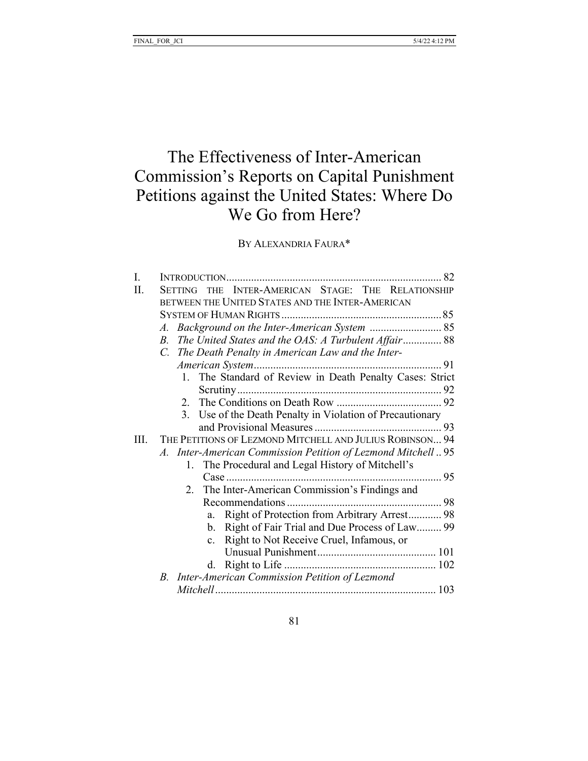## The Effectiveness of Inter-American Commission's Reports on Capital Punishment Petitions against the United States: Where Do We Go from Here?

BY ALEXANDRIA FAURA\*

| I.   |                                                                      |
|------|----------------------------------------------------------------------|
| Π.   | THE INTER-AMERICAN STAGE: THE RELATIONSHIP<br>SETTING                |
|      | BETWEEN THE UNITED STATES AND THE INTER-AMERICAN                     |
|      |                                                                      |
|      | Background on the Inter-American System  85<br>$\mathcal{A}_{\cdot}$ |
|      | The United States and the OAS: A Turbulent Affair 88<br>$B_{\cdot}$  |
|      | C. The Death Penalty in American Law and the Inter-                  |
|      |                                                                      |
|      | 1. The Standard of Review in Death Penalty Cases: Strict             |
|      |                                                                      |
|      |                                                                      |
|      | 3. Use of the Death Penalty in Violation of Precautionary            |
|      |                                                                      |
| III. | THE PETITIONS OF LEZMOND MITCHELL AND JULIUS ROBINSON 94             |
|      | A. Inter-American Commission Petition of Lezmond Mitchell95          |
|      | The Procedural and Legal History of Mitchell's<br>1.                 |
|      |                                                                      |
|      |                                                                      |
|      |                                                                      |
|      | Right of Protection from Arbitrary Arrest 98<br>a.                   |
|      | Right of Fair Trial and Due Process of Law 99<br>b.                  |
|      | Right to Not Receive Cruel, Infamous, or<br>$\mathbf{c}$ .           |
|      |                                                                      |
|      | d.                                                                   |
|      | B. Inter-American Commission Petition of Lezmond                     |
|      |                                                                      |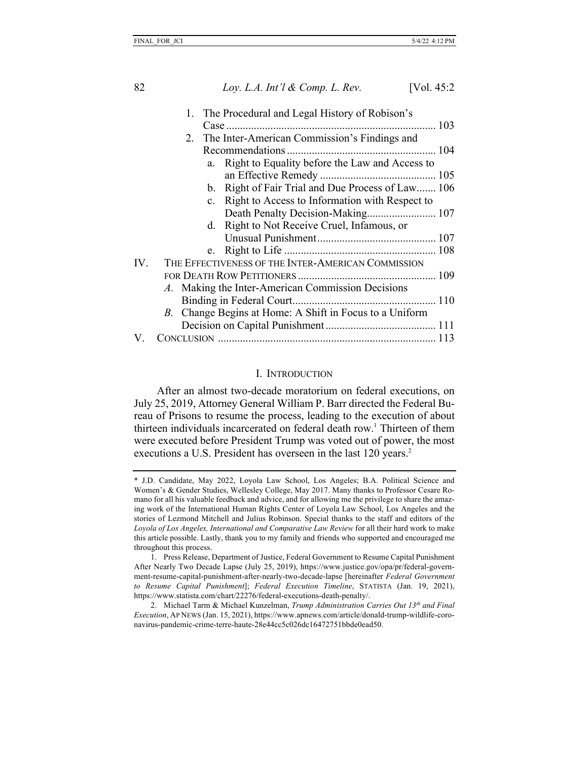| 1. The Procedural and Legal History of Robison's        |                                                   |
|---------------------------------------------------------|---------------------------------------------------|
|                                                         |                                                   |
| 2. The Inter-American Commission's Findings and         |                                                   |
|                                                         |                                                   |
| a. Right to Equality before the Law and Access to       |                                                   |
|                                                         |                                                   |
| b. Right of Fair Trial and Due Process of Law 106       |                                                   |
| c. Right to Access to Information with Respect to       |                                                   |
|                                                         |                                                   |
| d. Right to Not Receive Cruel, Infamous, or             |                                                   |
|                                                         |                                                   |
|                                                         |                                                   |
| THE EFFECTIVENESS OF THE INTER-AMERICAN COMMISSION      |                                                   |
|                                                         |                                                   |
|                                                         |                                                   |
|                                                         |                                                   |
| B. Change Begins at Home: A Shift in Focus to a Uniform |                                                   |
|                                                         |                                                   |
|                                                         |                                                   |
|                                                         | A. Making the Inter-American Commission Decisions |

## I. INTRODUCTION

After an almost two-decade moratorium on federal executions, on July 25, 2019, Attorney General William P. Barr directed the Federal Bureau of Prisons to resume the process, leading to the execution of about thirteen individuals incarcerated on federal death row. <sup>1</sup> Thirteen of them were executed before President Trump was voted out of power, the most executions a U.S. President has overseen in the last 120 years.<sup>2</sup>

<sup>\*</sup> J.D. Candidate, May 2022, Loyola Law School, Los Angeles; B.A. Political Science and Women's & Gender Studies, Wellesley College, May 2017. Many thanks to Professor Cesare Romano for all his valuable feedback and advice, and for allowing me the privilege to share the amazing work of the International Human Rights Center of Loyola Law School, Los Angeles and the stories of Lezmond Mitchell and Julius Robinson. Special thanks to the staff and editors of the *Loyola of Los Angeles, International and Comparative Law Review* for all their hard work to make this article possible. Lastly, thank you to my family and friends who supported and encouraged me throughout this process.

<sup>1.</sup> Press Release, Department of Justice, Federal Government to Resume Capital Punishment After Nearly Two Decade Lapse (July 25, 2019), https://www.justice.gov/opa/pr/federal-government-resume-capital-punishment-after-nearly-two-decade-lapse [hereinafter *Federal Government to Resume Capital Punishment*]; *Federal Execution Timeline*, STATISTA (Jan. 19, 2021), https://www.statista.com/chart/22276/federal-executions-death-penalty/.

<sup>2.</sup> Michael Tarm & Michael Kunzelman, *Trump Administration Carries Out 13th and Final Execution*, AP NEWS (Jan. 15, 2021), https://www.apnews.com/article/donald-trump-wildlife-coronavirus-pandemic-crime-terre-haute-28e44cc5c026dc16472751bbde0ead50.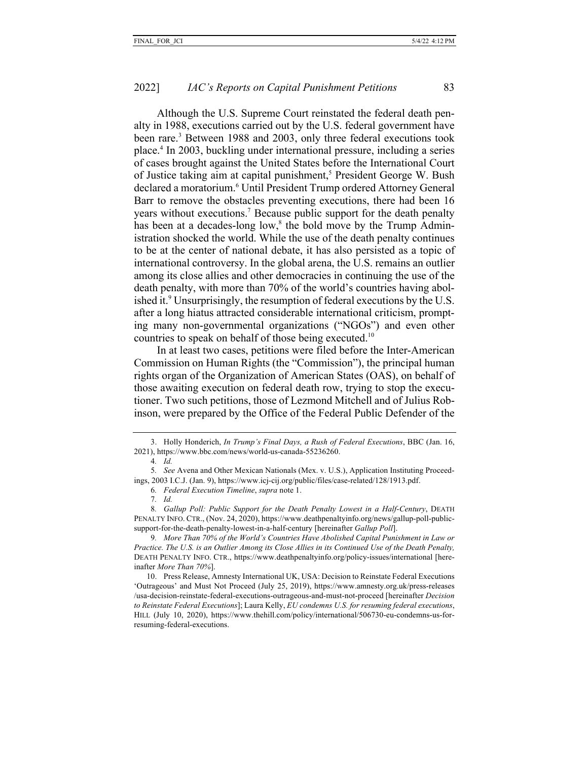Although the U.S. Supreme Court reinstated the federal death penalty in 1988, executions carried out by the U.S. federal government have been rare.<sup>3</sup> Between 1988 and 2003, only three federal executions took place.4 In 2003, buckling under international pressure, including a series of cases brought against the United States before the International Court of Justice taking aim at capital punishment,<sup>5</sup> President George W. Bush declared a moratorium.<sup>6</sup> Until President Trump ordered Attorney General Barr to remove the obstacles preventing executions, there had been 16 years without executions.7 Because public support for the death penalty has been at a decades-long low, $\delta$  the bold move by the Trump Administration shocked the world. While the use of the death penalty continues to be at the center of national debate, it has also persisted as a topic of international controversy. In the global arena, the U.S. remains an outlier among its close allies and other democracies in continuing the use of the death penalty, with more than 70% of the world's countries having abolished it.<sup>9</sup> Unsurprisingly, the resumption of federal executions by the U.S. after a long hiatus attracted considerable international criticism, prompting many non-governmental organizations ("NGOs") and even other countries to speak on behalf of those being executed.<sup>10</sup>

In at least two cases, petitions were filed before the Inter-American Commission on Human Rights (the "Commission"), the principal human rights organ of the Organization of American States (OAS), on behalf of those awaiting execution on federal death row, trying to stop the executioner. Two such petitions, those of Lezmond Mitchell and of Julius Robinson, were prepared by the Office of the Federal Public Defender of the

4*. Id.*

7*. Id.*

8*. Gallup Poll: Public Support for the Death Penalty Lowest in a Half-Century*, DEATH PENALTY INFO. CTR., (Nov. 24, 2020), https://www.deathpenaltyinfo.org/news/gallup-poll-publicsupport-for-the-death-penalty-lowest-in-a-half-century [hereinafter *Gallup Poll*].

9*. More Than 70% of the World's Countries Have Abolished Capital Punishment in Law or Practice. The U.S. is an Outlier Among its Close Allies in its Continued Use of the Death Penalty,*  DEATH PENALTY INFO. CTR., https://www.deathpenaltyinfo.org/policy-issues/international [hereinafter *More Than 70%*].

10. Press Release, Amnesty International UK, USA: Decision to Reinstate Federal Executions 'Outrageous' and Must Not Proceed (July 25, 2019), https://www.amnesty.org.uk/press-releases /usa-decision-reinstate-federal-executions-outrageous-and-must-not-proceed [hereinafter *Decision to Reinstate Federal Executions*]; Laura Kelly, *EU condemns U.S. for resuming federal executions*, HILL (July 10, 2020), https://www.thehill.com/policy/international/506730-eu-condemns-us-forresuming-federal-executions.

<sup>3.</sup> Holly Honderich, *In Trump's Final Days, a Rush of Federal Executions*, BBC (Jan. 16, 2021), https://www.bbc.com/news/world-us-canada-55236260.

<sup>5</sup>*. See* Avena and Other Mexican Nationals (Mex. v. U.S.), Application Instituting Proceedings, 2003 I.C.J. (Jan. 9), https://www.icj-cij.org/public/files/case-related/128/1913.pdf.

<sup>6</sup>*. Federal Execution Timeline*, *supra* note 1.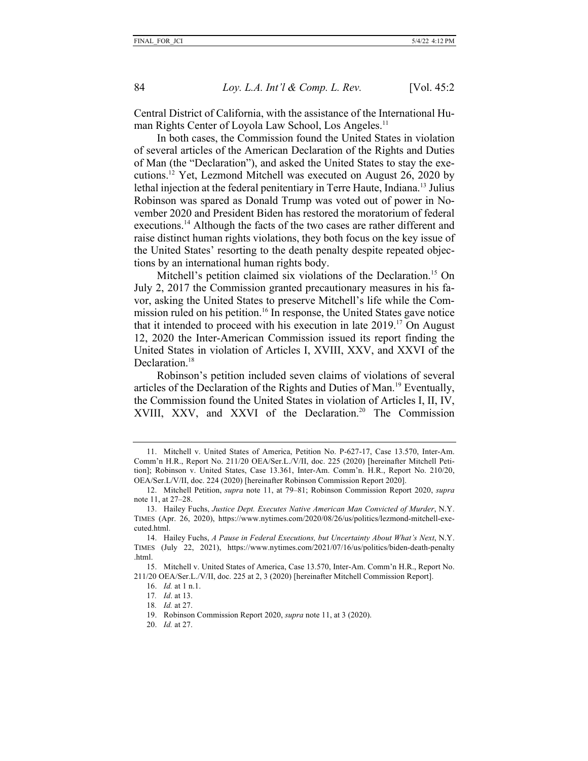Central District of California, with the assistance of the International Human Rights Center of Loyola Law School, Los Angeles. 11

In both cases, the Commission found the United States in violation of several articles of the American Declaration of the Rights and Duties of Man (the "Declaration"), and asked the United States to stay the executions. <sup>12</sup> Yet, Lezmond Mitchell was executed on August 26, 2020 by lethal injection at the federal penitentiary in Terre Haute, Indiana.<sup>13</sup> Julius Robinson was spared as Donald Trump was voted out of power in November 2020 and President Biden has restored the moratorium of federal executions.<sup>14</sup> Although the facts of the two cases are rather different and raise distinct human rights violations, they both focus on the key issue of the United States' resorting to the death penalty despite repeated objections by an international human rights body.

Mitchell's petition claimed six violations of the Declaration.<sup>15</sup> On July 2, 2017 the Commission granted precautionary measures in his favor, asking the United States to preserve Mitchell's life while the Commission ruled on his petition.<sup>16</sup> In response, the United States gave notice that it intended to proceed with his execution in late 2019.17 On August 12, 2020 the Inter-American Commission issued its report finding the United States in violation of Articles I, XVIII, XXV, and XXVI of the Declaration.<sup>18</sup>

Robinson's petition included seven claims of violations of several articles of the Declaration of the Rights and Duties of Man.<sup>19</sup> Eventually, the Commission found the United States in violation of Articles I, II, IV, XVIII, XXV, and XXVI of the Declaration.<sup>20</sup> The Commission

20. *Id.* at 27.

<sup>11.</sup> Mitchell v. United States of America, Petition No. P-627-17, Case 13.570, Inter-Am. Comm'n H.R., Report No. 211/20 OEA/Ser.L./V/II, doc. 225 (2020) [hereinafter Mitchell Petition]; Robinson v. United States, Case 13.361, Inter-Am. Comm'n. H.R., Report No. 210/20, OEA/Ser.L/V/II, doc. 224 (2020) [hereinafter Robinson Commission Report 2020].

<sup>12.</sup> Mitchell Petition, *supra* note 11, at 79–81; Robinson Commission Report 2020, *supra* note 11, at 27–28.

<sup>13.</sup> Hailey Fuchs, *Justice Dept. Executes Native American Man Convicted of Murder*, N.Y. TIMES (Apr. 26, 2020), https://www.nytimes.com/2020/08/26/us/politics/lezmond-mitchell-executed.html.

<sup>14.</sup> Hailey Fuchs, *A Pause in Federal Executions, but Uncertainty About What's Next*, N.Y. TIMES (July 22, 2021), https://www.nytimes.com/2021/07/16/us/politics/biden-death-penalty .html.

<sup>15.</sup> Mitchell v. United States of America, Case 13.570, Inter-Am. Comm'n H.R., Report No. 211/20 OEA/Ser.L./V/II, doc. 225 at 2, 3 (2020) [hereinafter Mitchell Commission Report].

<sup>16.</sup> *Id.* at 1 n.1.

<sup>17</sup>*. Id*. at 13.

<sup>18</sup>*. Id.* at 27.

<sup>19.</sup> Robinson Commission Report 2020, *supra* note 11, at 3 (2020).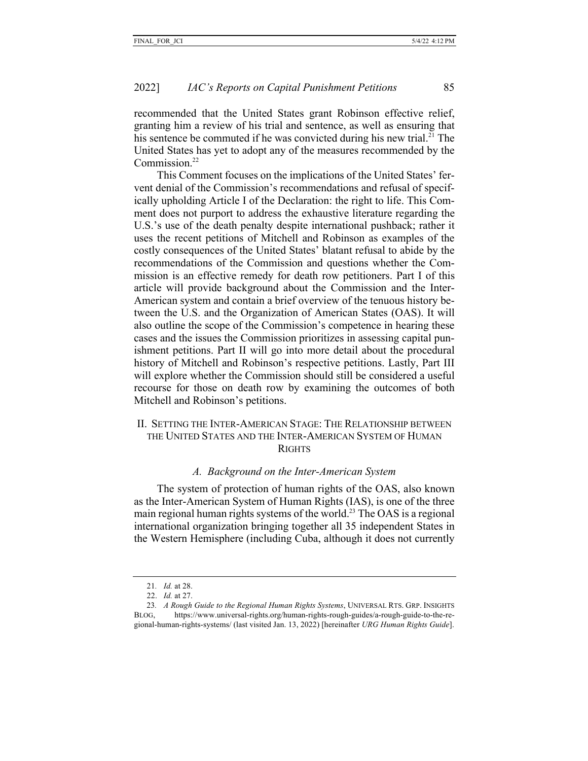recommended that the United States grant Robinson effective relief, granting him a review of his trial and sentence, as well as ensuring that his sentence be commuted if he was convicted during his new trial. $^{21}$  The United States has yet to adopt any of the measures recommended by the Commission.<sup>22</sup>

This Comment focuses on the implications of the United States' fervent denial of the Commission's recommendations and refusal of specifically upholding Article I of the Declaration: the right to life. This Comment does not purport to address the exhaustive literature regarding the U.S.'s use of the death penalty despite international pushback; rather it uses the recent petitions of Mitchell and Robinson as examples of the costly consequences of the United States' blatant refusal to abide by the recommendations of the Commission and questions whether the Commission is an effective remedy for death row petitioners. Part I of this article will provide background about the Commission and the Inter-American system and contain a brief overview of the tenuous history between the U.S. and the Organization of American States (OAS). It will also outline the scope of the Commission's competence in hearing these cases and the issues the Commission prioritizes in assessing capital punishment petitions. Part II will go into more detail about the procedural history of Mitchell and Robinson's respective petitions. Lastly, Part III will explore whether the Commission should still be considered a useful recourse for those on death row by examining the outcomes of both Mitchell and Robinson's petitions.

## II. SETTING THE INTER-AMERICAN STAGE: THE RELATIONSHIP BETWEEN THE UNITED STATES AND THE INTER-AMERICAN SYSTEM OF HUMAN **RIGHTS**

## *A. Background on the Inter-American System*

The system of protection of human rights of the OAS, also known as the Inter-American System of Human Rights (IAS), is one of the three main regional human rights systems of the world.<sup>23</sup> The OAS is a regional international organization bringing together all 35 independent States in the Western Hemisphere (including Cuba, although it does not currently

<sup>21</sup>*. Id.* at 28.

<sup>22.</sup> *Id.* at 27.

<sup>23</sup>*. A Rough Guide to the Regional Human Rights Systems*, UNIVERSAL RTS. GRP. INSIGHTS BLOG, https://www.universal-rights.org/human-rights-rough-guides/a-rough-guide-to-the-regional-human-rights-systems/ (last visited Jan. 13, 2022) [hereinafter *URG Human Rights Guide*].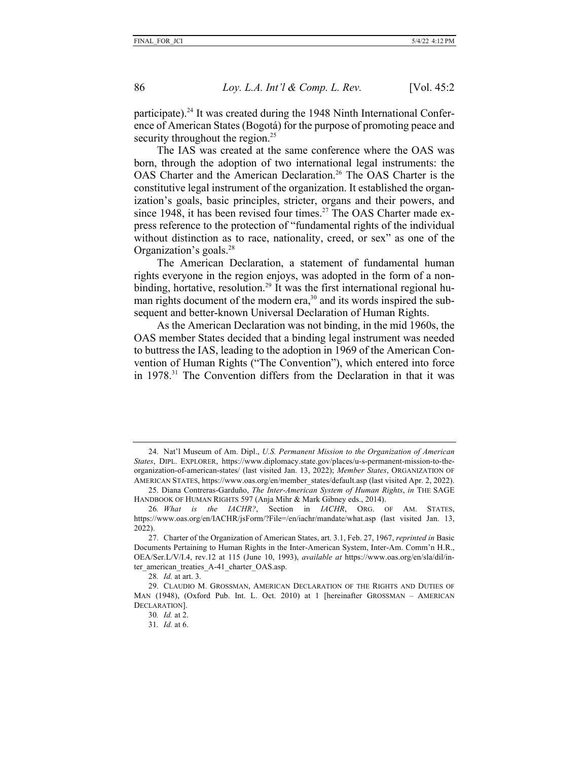participate).<sup>24</sup> It was created during the 1948 Ninth International Conference of American States (Bogotá) for the purpose of promoting peace and security throughout the region.<sup>25</sup>

The IAS was created at the same conference where the OAS was born, through the adoption of two international legal instruments: the OAS Charter and the American Declaration.<sup>26</sup> The OAS Charter is the constitutive legal instrument of the organization. It established the organization's goals, basic principles, stricter, organs and their powers, and since 1948, it has been revised four times.<sup>27</sup> The OAS Charter made express reference to the protection of "fundamental rights of the individual without distinction as to race, nationality, creed, or sex" as one of the Organization's goals.28

The American Declaration, a statement of fundamental human rights everyone in the region enjoys, was adopted in the form of a nonbinding, hortative, resolution.<sup>29</sup> It was the first international regional human rights document of the modern era,<sup>30</sup> and its words inspired the subsequent and better-known Universal Declaration of Human Rights.

As the American Declaration was not binding, in the mid 1960s, the OAS member States decided that a binding legal instrument was needed to buttress the IAS, leading to the adoption in 1969 of the American Convention of Human Rights ("The Convention"), which entered into force in 1978.<sup>31</sup> The Convention differs from the Declaration in that it was

<sup>24.</sup> Nat'l Museum of Am. Dipl., *U.S. Permanent Mission to the Organization of American States*, DIPL. EXPLORER, https://www.diplomacy.state.gov/places/u-s-permanent-mission-to-theorganization-of-american-states/ (last visited Jan. 13, 2022); *Member States*, ORGANIZATION OF AMERICAN STATES, https://www.oas.org/en/member\_states/default.asp (last visited Apr. 2, 2022).

<sup>25.</sup> Diana Contreras-Garduño, *The Inter-American System of Human Rights*, *in* THE SAGE HANDBOOK OF HUMAN RIGHTS 597 (Anja Mihr & Mark Gibney eds., 2014).

<sup>26</sup>*. What is the IACHR?*, Section in *IACHR*, ORG. OF AM. STATES, https://www.oas.org/en/IACHR/jsForm/?File=/en/iachr/mandate/what.asp (last visited Jan. 13, 2022).

<sup>27.</sup> Charter of the Organization of American States, art. 3.1, Feb. 27, 1967, *reprinted in* Basic Documents Pertaining to Human Rights in the Inter-American System, Inter-Am. Comm'n H.R., OEA/Ser.L/V/I.4, rev.12 at 115 (June 10, 1993), *available at* https://www.oas.org/en/sla/dil/inter american treaties A-41 charter OAS.asp.

<sup>28</sup>*. Id.* at art. 3.

<sup>29.</sup> CLAUDIO M. GROSSMAN, AMERICAN DECLARATION OF THE RIGHTS AND DUTIES OF MAN (1948), (Oxford Pub. Int. L. Oct. 2010) at 1 [hereinafter GROSSMAN – AMERICAN DECLARATION].

<sup>30</sup>*. Id.* at 2.

<sup>31</sup>*. Id.* at 6.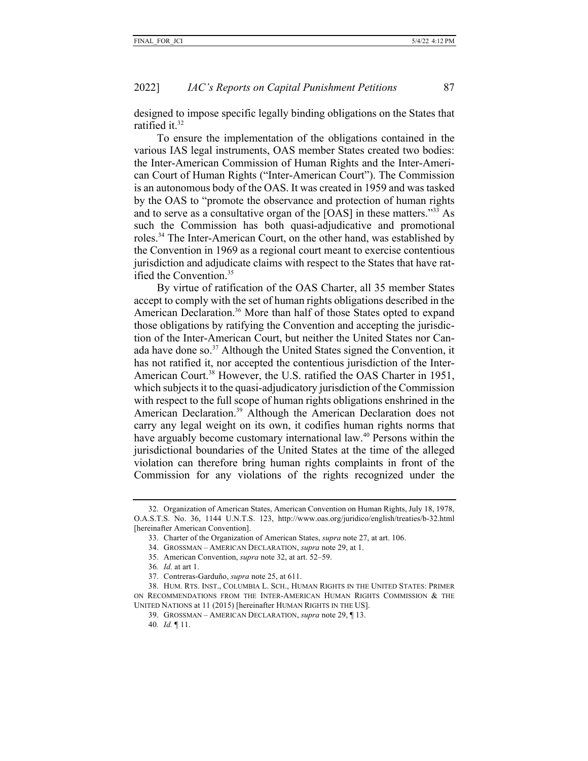designed to impose specific legally binding obligations on the States that ratified it.<sup>32</sup>

To ensure the implementation of the obligations contained in the various IAS legal instruments, OAS member States created two bodies: the Inter-American Commission of Human Rights and the Inter-American Court of Human Rights ("Inter-American Court"). The Commission is an autonomous body of the OAS. It was created in 1959 and was tasked by the OAS to "promote the observance and protection of human rights and to serve as a consultative organ of the [OAS] in these matters."33 As such the Commission has both quasi-adjudicative and promotional roles.34 The Inter-American Court, on the other hand, was established by the Convention in 1969 as a regional court meant to exercise contentious jurisdiction and adjudicate claims with respect to the States that have ratified the Convention.35

By virtue of ratification of the OAS Charter, all 35 member States accept to comply with the set of human rights obligations described in the American Declaration.<sup>36</sup> More than half of those States opted to expand those obligations by ratifying the Convention and accepting the jurisdiction of the Inter-American Court, but neither the United States nor Canada have done so. <sup>37</sup> Although the United States signed the Convention, it has not ratified it, nor accepted the contentious jurisdiction of the Inter-American Court.<sup>38</sup> However, the U.S. ratified the OAS Charter in 1951, which subjects it to the quasi-adjudicatory jurisdiction of the Commission with respect to the full scope of human rights obligations enshrined in the American Declaration.39 Although the American Declaration does not carry any legal weight on its own, it codifies human rights norms that have arguably become customary international law.<sup>40</sup> Persons within the jurisdictional boundaries of the United States at the time of the alleged violation can therefore bring human rights complaints in front of the Commission for any violations of the rights recognized under the

<sup>32.</sup> Organization of American States, American Convention on Human Rights, July 18, 1978, O.A.S.T.S. No. 36, 1144 U.N.T.S. 123, http://www.oas.org/juridico/english/treaties/b-32.html [hereinafter American Convention].

<sup>33.</sup> Charter of the Organization of American States, *supra* note 27, at art. 106.

<sup>34.</sup> GROSSMAN – AMERICAN DECLARATION, *supra* note 29, at 1.

<sup>35.</sup> American Convention, *supra* note 32, at art. 52–59.

<sup>36</sup>*. Id.* at art 1.

<sup>37.</sup> Contreras-Garduño, *supra* note 25, at 611.

<sup>38.</sup> HUM. RTS. INST., COLUMBIA L. SCH., HUMAN RIGHTS IN THE UNITED STATES: PRIMER ON RECOMMENDATIONS FROM THE INTER-AMERICAN HUMAN RIGHTS COMMISSION & THE UNITED NATIONS at 11 (2015) [hereinafter HUMAN RIGHTS IN THE US].

<sup>39.</sup> GROSSMAN – AMERICAN DECLARATION, *supra* note 29, ¶ 13.

<sup>40</sup>*. Id.* ¶ 11.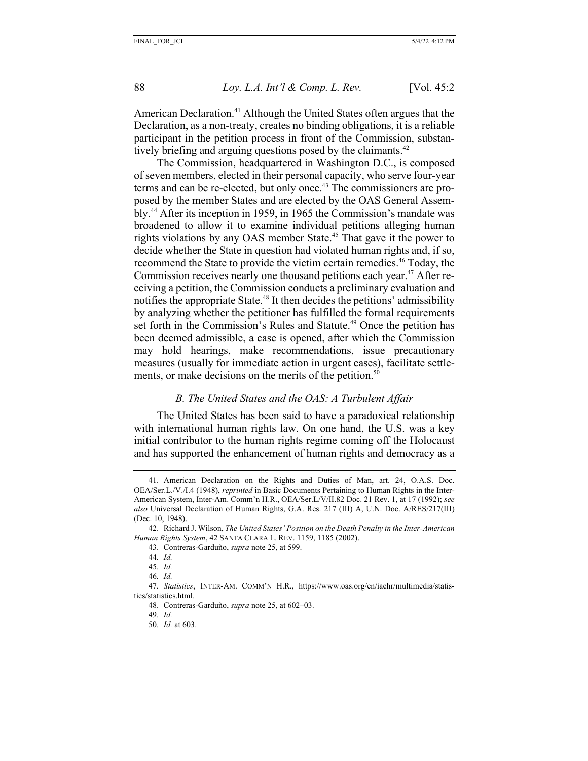American Declaration.<sup>41</sup> Although the United States often argues that the Declaration, as a non-treaty, creates no binding obligations, it is a reliable participant in the petition process in front of the Commission, substantively briefing and arguing questions posed by the claimants.<sup>42</sup>

The Commission, headquartered in Washington D.C., is composed of seven members, elected in their personal capacity, who serve four-year terms and can be re-elected, but only once.<sup>43</sup> The commissioners are proposed by the member States and are elected by the OAS General Assembly.44 After its inception in 1959, in 1965 the Commission's mandate was broadened to allow it to examine individual petitions alleging human rights violations by any OAS member State.<sup>45</sup> That gave it the power to decide whether the State in question had violated human rights and, if so, recommend the State to provide the victim certain remedies.<sup>46</sup> Today, the Commission receives nearly one thousand petitions each year.<sup>47</sup> After receiving a petition, the Commission conducts a preliminary evaluation and notifies the appropriate State.<sup>48</sup> It then decides the petitions' admissibility by analyzing whether the petitioner has fulfilled the formal requirements set forth in the Commission's Rules and Statute.<sup>49</sup> Once the petition has been deemed admissible, a case is opened, after which the Commission may hold hearings, make recommendations, issue precautionary measures (usually for immediate action in urgent cases), facilitate settlements, or make decisions on the merits of the petition.<sup>50</sup>

## *B. The United States and the OAS: A Turbulent Affair*

The United States has been said to have a paradoxical relationship with international human rights law. On one hand, the U.S. was a key initial contributor to the human rights regime coming off the Holocaust and has supported the enhancement of human rights and democracy as a

46*. Id.* 

<sup>41.</sup> American Declaration on the Rights and Duties of Man, art. 24, O.A.S. Doc. OEA/Ser.L./V./I.4 (1948), *reprinted* in Basic Documents Pertaining to Human Rights in the Inter-American System, Inter-Am. Comm'n H.R., OEA/Ser.L/V/II.82 Doc. 21 Rev. 1, at 17 (1992); *see also* Universal Declaration of Human Rights, G.A. Res. 217 (III) A, U.N. Doc. A/RES/217(III) (Dec. 10, 1948).

<sup>42.</sup> Richard J. Wilson, *The United States' Position on the Death Penalty in the Inter-American Human Rights System*, 42 SANTA CLARA L. REV. 1159, 1185 (2002).

<sup>43.</sup> Contreras-Garduño, *supra* note 25, at 599.

<sup>44</sup>*. Id.* 

<sup>45</sup>*. Id.* 

<sup>47</sup>*. Statistics*, INTER-AM. COMM'N H.R., https://www.oas.org/en/iachr/multimedia/statistics/statistics.html.

<sup>48.</sup> Contreras-Garduño, *supra* note 25, at 602–03.

<sup>49</sup>*. Id.* 

<sup>50</sup>*. Id.* at 603.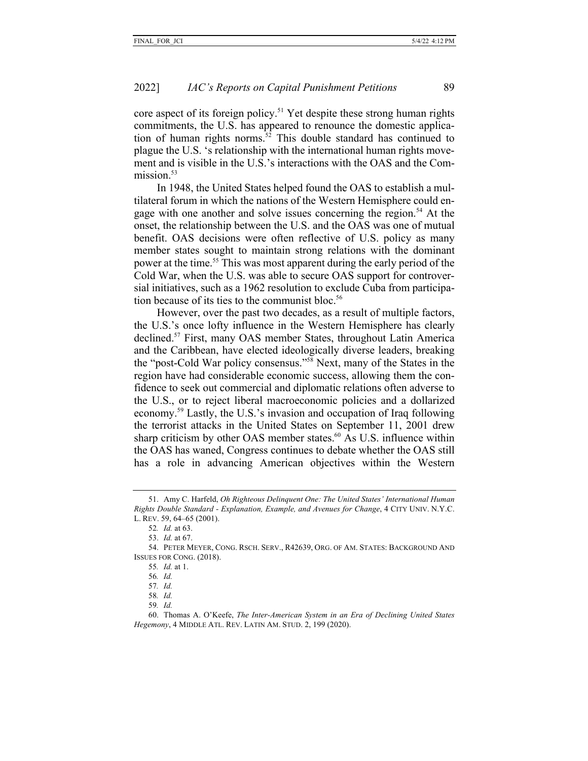core aspect of its foreign policy.<sup>51</sup> Yet despite these strong human rights commitments, the U.S. has appeared to renounce the domestic application of human rights norms.<sup>52</sup> This double standard has continued to plague the U.S. 's relationship with the international human rights movement and is visible in the U.S.'s interactions with the OAS and the Commission $53$ 

In 1948, the United States helped found the OAS to establish a multilateral forum in which the nations of the Western Hemisphere could engage with one another and solve issues concerning the region.<sup>54</sup> At the onset, the relationship between the U.S. and the OAS was one of mutual benefit. OAS decisions were often reflective of U.S. policy as many member states sought to maintain strong relations with the dominant power at the time.55 This was most apparent during the early period of the Cold War, when the U.S. was able to secure OAS support for controversial initiatives, such as a 1962 resolution to exclude Cuba from participation because of its ties to the communist bloc.<sup>56</sup>

However, over the past two decades, as a result of multiple factors, the U.S.'s once lofty influence in the Western Hemisphere has clearly declined.57 First, many OAS member States, throughout Latin America and the Caribbean, have elected ideologically diverse leaders, breaking the "post-Cold War policy consensus."58 Next, many of the States in the region have had considerable economic success, allowing them the confidence to seek out commercial and diplomatic relations often adverse to the U.S., or to reject liberal macroeconomic policies and a dollarized economy.59 Lastly, the U.S.'s invasion and occupation of Iraq following the terrorist attacks in the United States on September 11, 2001 drew sharp criticism by other OAS member states. $60$  As U.S. influence within the OAS has waned, Congress continues to debate whether the OAS still has a role in advancing American objectives within the Western

<sup>51.</sup> Amy C. Harfeld, *Oh Righteous Delinquent One: The United States' International Human Rights Double Standard - Explanation, Example, and Avenues for Change*, 4 CITY UNIV. N.Y.C. L. REV. 59, 64–65 (2001).

<sup>52</sup>*. Id.* at 63.

<sup>53.</sup> *Id.* at 67.

<sup>54.</sup> PETER MEYER, CONG. RSCH. SERV., R42639, ORG. OF AM. STATES: BACKGROUND AND ISSUES FOR CONG. (2018).

<sup>55</sup>*. Id.* at 1.

<sup>56</sup>*. Id.*

<sup>57</sup>*. Id.*

<sup>58</sup>*. Id.* 

<sup>59</sup>*. Id.*

<sup>60.</sup> Thomas A. O'Keefe, *The Inter-American System in an Era of Declining United States Hegemony*, 4 MIDDLE ATL. REV. LATIN AM. STUD. 2, 199 (2020).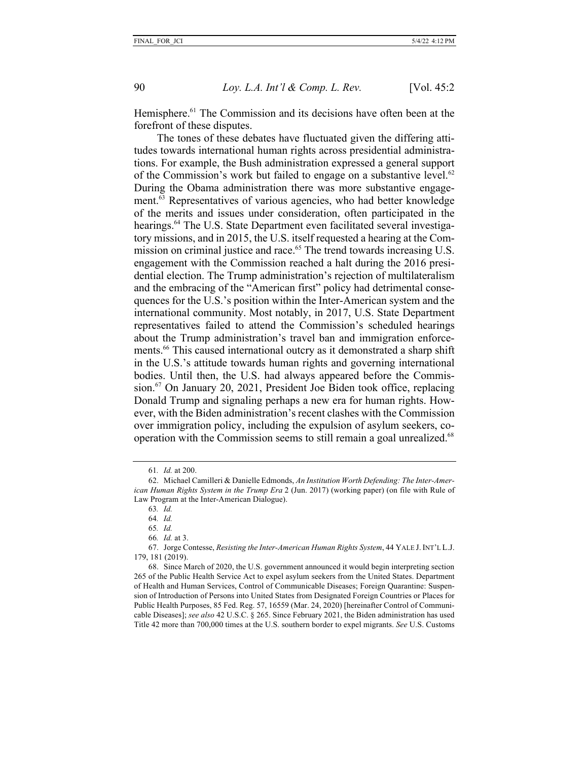Hemisphere.<sup>61</sup> The Commission and its decisions have often been at the forefront of these disputes.

The tones of these debates have fluctuated given the differing attitudes towards international human rights across presidential administrations. For example, the Bush administration expressed a general support of the Commission's work but failed to engage on a substantive level. $62$ During the Obama administration there was more substantive engagement. $\overline{63}$  Representatives of various agencies, who had better knowledge of the merits and issues under consideration, often participated in the hearings.<sup>64</sup> The U.S. State Department even facilitated several investigatory missions, and in 2015, the U.S. itself requested a hearing at the Commission on criminal justice and race.<sup>65</sup> The trend towards increasing U.S. engagement with the Commission reached a halt during the 2016 presidential election. The Trump administration's rejection of multilateralism and the embracing of the "American first" policy had detrimental consequences for the U.S.'s position within the Inter-American system and the international community. Most notably, in 2017, U.S. State Department representatives failed to attend the Commission's scheduled hearings about the Trump administration's travel ban and immigration enforcements.<sup>66</sup> This caused international outcry as it demonstrated a sharp shift in the U.S.'s attitude towards human rights and governing international bodies. Until then, the U.S. had always appeared before the Commission.67 On January 20, 2021, President Joe Biden took office, replacing Donald Trump and signaling perhaps a new era for human rights. However, with the Biden administration's recent clashes with the Commission over immigration policy, including the expulsion of asylum seekers, cooperation with the Commission seems to still remain a goal unrealized.<sup>68</sup>

<sup>61</sup>*. Id.* at 200.

<sup>62.</sup> Michael Camilleri & Danielle Edmonds, *An Institution Worth Defending: The Inter-American Human Rights System in the Trump Era* 2 (Jun. 2017) (working paper) (on file with Rule of Law Program at the Inter-American Dialogue).

<sup>63</sup>*. Id.* 

<sup>64</sup>*. Id.*

<sup>65</sup>*. Id.*

<sup>66</sup>*. Id.* at 3.

<sup>67.</sup> Jorge Contesse, *Resisting the Inter-American Human Rights System*, 44 YALE J. INT'L L.J. 179, 181 (2019).

<sup>68.</sup> Since March of 2020, the U.S. government announced it would begin interpreting section 265 of the Public Health Service Act to expel asylum seekers from the United States. Department of Health and Human Services, Control of Communicable Diseases; Foreign Quarantine: Suspension of Introduction of Persons into United States from Designated Foreign Countries or Places for Public Health Purposes, 85 Fed. Reg. 57, 16559 (Mar. 24, 2020) [hereinafter Control of Communicable Diseases]; *see also* 42 U.S.C. § 265. Since February 2021, the Biden administration has used Title 42 more than 700,000 times at the U.S. southern border to expel migrants. *See* U.S. Customs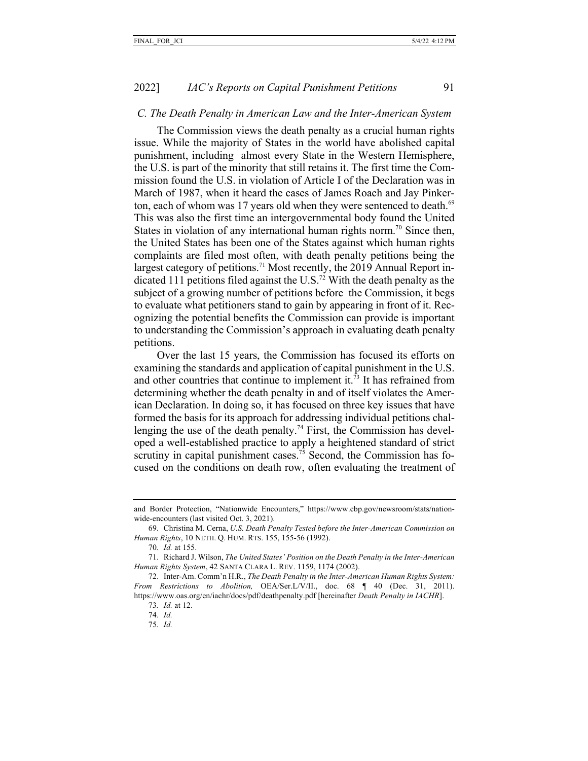#### *C. The Death Penalty in American Law and the Inter-American System*

The Commission views the death penalty as a crucial human rights issue. While the majority of States in the world have abolished capital punishment, including almost every State in the Western Hemisphere, the U.S. is part of the minority that still retains it. The first time the Commission found the U.S. in violation of Article I of the Declaration was in March of 1987, when it heard the cases of James Roach and Jay Pinkerton, each of whom was 17 years old when they were sentenced to death. $69$ This was also the first time an intergovernmental body found the United States in violation of any international human rights norm.<sup>70</sup> Since then, the United States has been one of the States against which human rights complaints are filed most often, with death penalty petitions being the largest category of petitions.<sup>71</sup> Most recently, the 2019 Annual Report indicated 111 petitions filed against the U.S.<sup>72</sup> With the death penalty as the subject of a growing number of petitions before the Commission, it begs to evaluate what petitioners stand to gain by appearing in front of it. Recognizing the potential benefits the Commission can provide is important to understanding the Commission's approach in evaluating death penalty petitions.

Over the last 15 years, the Commission has focused its efforts on examining the standards and application of capital punishment in the U.S. and other countries that continue to implement it.73 It has refrained from determining whether the death penalty in and of itself violates the American Declaration. In doing so, it has focused on three key issues that have formed the basis for its approach for addressing individual petitions challenging the use of the death penalty.<sup>74</sup> First, the Commission has developed a well-established practice to apply a heightened standard of strict scrutiny in capital punishment cases.<sup>75</sup> Second, the Commission has focused on the conditions on death row, often evaluating the treatment of

and Border Protection, "Nationwide Encounters," https://www.cbp.gov/newsroom/stats/nationwide-encounters (last visited Oct. 3, 2021).

<sup>69.</sup> Christina M. Cerna, *U.S. Death Penalty Tested before the Inter-American Commission on Human Rights*, 10 NETH. Q. HUM. RTS. 155, 155-56 (1992).

<sup>70</sup>*. Id.* at 155.

<sup>71.</sup> Richard J. Wilson, *The United States' Position on the Death Penalty in the Inter-American Human Rights System*, 42 SANTA CLARA L. REV. 1159, 1174 (2002).

<sup>72.</sup> Inter-Am. Comm'n H.R., *The Death Penalty in the Inter-American Human Rights System: From Restrictions to Abolition,* OEA/Ser.L/V/II., doc. 68 ¶ 40 (Dec. 31, 2011). https://www.oas.org/en/iachr/docs/pdf/deathpenalty.pdf [hereinafter *Death Penalty in IACHR*].

<sup>73</sup>*. Id.* at 12.

<sup>74.</sup> *Id.*

<sup>75</sup>*. Id.*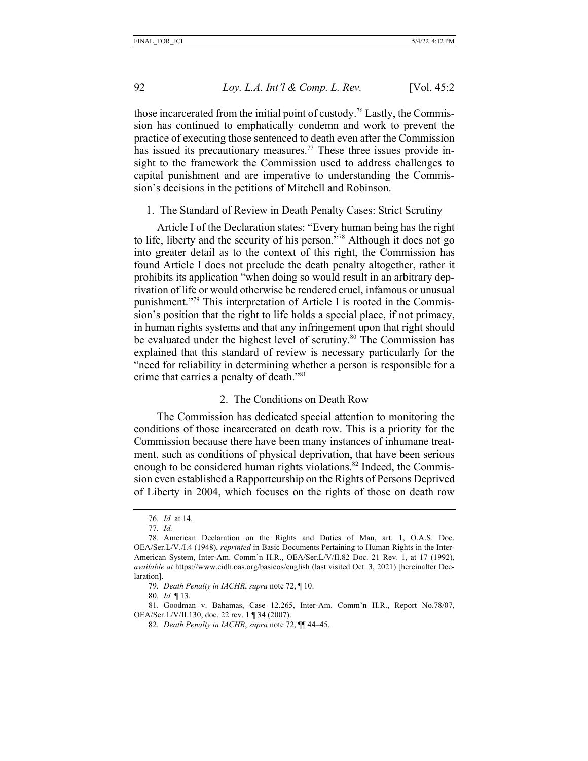those incarcerated from the initial point of custody.76 Lastly, the Commission has continued to emphatically condemn and work to prevent the practice of executing those sentenced to death even after the Commission has issued its precautionary measures.<sup>77</sup> These three issues provide insight to the framework the Commission used to address challenges to capital punishment and are imperative to understanding the Commission's decisions in the petitions of Mitchell and Robinson.

1. The Standard of Review in Death Penalty Cases: Strict Scrutiny

Article I of the Declaration states: "Every human being has the right to life, liberty and the security of his person."78 Although it does not go into greater detail as to the context of this right, the Commission has found Article I does not preclude the death penalty altogether, rather it prohibits its application "when doing so would result in an arbitrary deprivation of life or would otherwise be rendered cruel, infamous or unusual punishment."79 This interpretation of Article I is rooted in the Commission's position that the right to life holds a special place, if not primacy, in human rights systems and that any infringement upon that right should be evaluated under the highest level of scrutiny.<sup>80</sup> The Commission has explained that this standard of review is necessary particularly for the "need for reliability in determining whether a person is responsible for a crime that carries a penalty of death."81

## 2. The Conditions on Death Row

The Commission has dedicated special attention to monitoring the conditions of those incarcerated on death row. This is a priority for the Commission because there have been many instances of inhumane treatment, such as conditions of physical deprivation, that have been serious enough to be considered human rights violations.<sup>82</sup> Indeed, the Commission even established a Rapporteurship on the Rights of Persons Deprived of Liberty in 2004, which focuses on the rights of those on death row

<sup>76</sup>*. Id.* at 14.

<sup>77</sup>*. Id.*

<sup>78.</sup> American Declaration on the Rights and Duties of Man, art. 1, O.A.S. Doc. OEA/Ser.L/V./I.4 (1948), *reprinted* in Basic Documents Pertaining to Human Rights in the Inter-American System, Inter-Am. Comm'n H.R., OEA/Ser.L/V/II.82 Doc. 21 Rev. 1, at 17 (1992), *available at* https://www.cidh.oas.org/basicos/english (last visited Oct. 3, 2021) [hereinafter Declaration].

<sup>79</sup>*. Death Penalty in IACHR*, *supra* note 72, ¶ 10.

<sup>80</sup>*. Id.* ¶ 13.

<sup>81.</sup> Goodman v. Bahamas, Case 12.265, Inter-Am. Comm'n H.R., Report No.78/07, OEA/Ser.L/V/II.130, doc. 22 rev. 1 ¶ 34 (2007).

<sup>82</sup>*. Death Penalty in IACHR*, *supra* note 72, ¶¶ 44–45.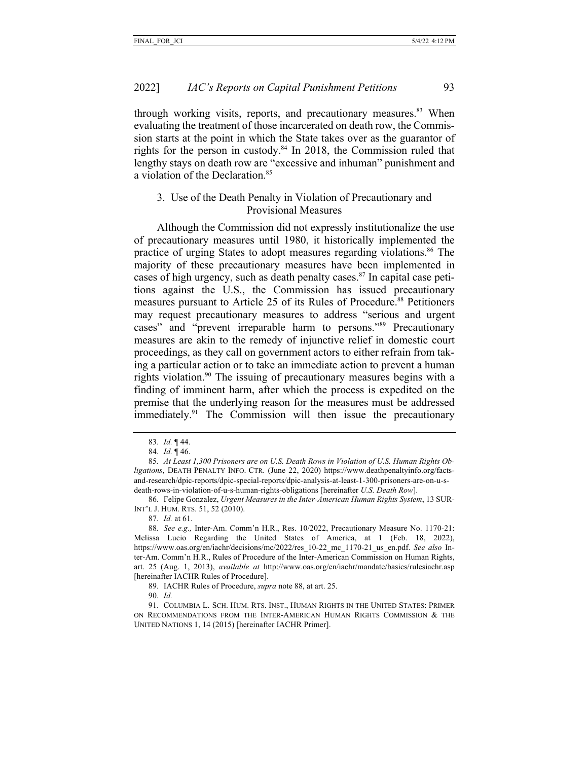through working visits, reports, and precautionary measures. $83$  When evaluating the treatment of those incarcerated on death row, the Commission starts at the point in which the State takes over as the guarantor of rights for the person in custody.<sup>84</sup> In 2018, the Commission ruled that lengthy stays on death row are "excessive and inhuman" punishment and a violation of the Declaration.85

## 3. Use of the Death Penalty in Violation of Precautionary and Provisional Measures

Although the Commission did not expressly institutionalize the use of precautionary measures until 1980, it historically implemented the practice of urging States to adopt measures regarding violations.86 The majority of these precautionary measures have been implemented in cases of high urgency, such as death penalty cases. $87$  In capital case petitions against the U.S., the Commission has issued precautionary measures pursuant to Article 25 of its Rules of Procedure.<sup>88</sup> Petitioners may request precautionary measures to address "serious and urgent cases" and "prevent irreparable harm to persons."89 Precautionary measures are akin to the remedy of injunctive relief in domestic court proceedings, as they call on government actors to either refrain from taking a particular action or to take an immediate action to prevent a human rights violation.90 The issuing of precautionary measures begins with a finding of imminent harm, after which the process is expedited on the premise that the underlying reason for the measures must be addressed immediately. $91$  The Commission will then issue the precautionary

<sup>83</sup>*. Id.* ¶ 44.

<sup>84</sup>*. Id.* ¶ 46.

<sup>85</sup>*. At Least 1,300 Prisoners are on U.S. Death Rows in Violation of U.S. Human Rights Obligations*, DEATH PENALTY INFO. CTR. (June 22, 2020) https://www.deathpenaltyinfo.org/factsand-research/dpic-reports/dpic-special-reports/dpic-analysis-at-least-1-300-prisoners-are-on-u-sdeath-rows-in-violation-of-u-s-human-rights-obligations [hereinafter *U.S. Death Row*].

<sup>86.</sup> Felipe Gonzalez, *Urgent Measures in the Inter-American Human Rights System*, 13 SUR-INT'L J. HUM. RTS. 51, 52 (2010).

<sup>87</sup>*. Id.* at 61.

<sup>88</sup>*. See e.g.,* Inter-Am. Comm'n H.R., Res. 10/2022, Precautionary Measure No. 1170-21: Melissa Lucio Regarding the United States of America, at 1 (Feb. 18, 2022), https://www.oas.org/en/iachr/decisions/mc/2022/res\_10-22\_mc\_1170-21\_us\_en.pdf. *See also* Inter-Am. Comm'n H.R., Rules of Procedure of the Inter-American Commission on Human Rights, art. 25 (Aug. 1, 2013), *available at* http://www.oas.org/en/iachr/mandate/basics/rulesiachr.asp [hereinafter IACHR Rules of Procedure].

<sup>89.</sup> IACHR Rules of Procedure, *supra* note 88, at art. 25.

<sup>90</sup>*. Id.*

<sup>91.</sup> COLUMBIA L. SCH. HUM. RTS. INST., HUMAN RIGHTS IN THE UNITED STATES: PRIMER ON RECOMMENDATIONS FROM THE INTER-AMERICAN HUMAN RIGHTS COMMISSION & THE UNITED NATIONS 1, 14 (2015) [hereinafter IACHR Primer].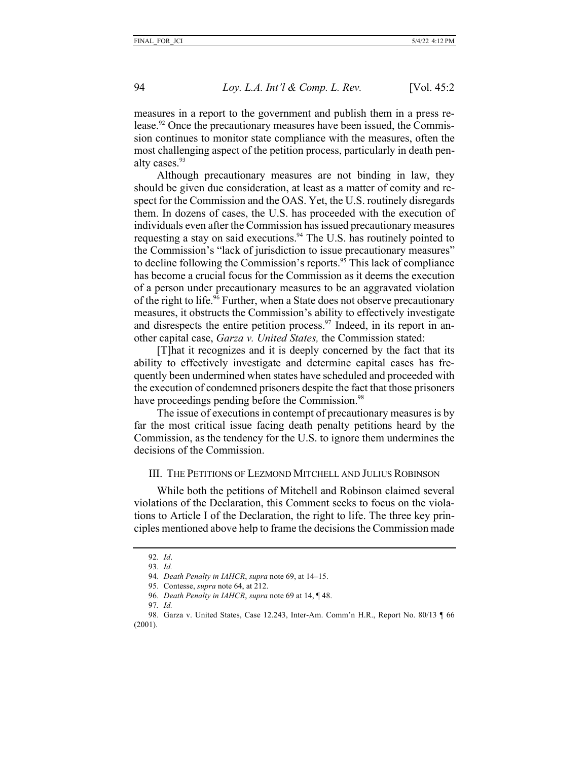measures in a report to the government and publish them in a press release.<sup>92</sup> Once the precautionary measures have been issued, the Commission continues to monitor state compliance with the measures, often the most challenging aspect of the petition process, particularly in death penalty cases.<sup>93</sup>

Although precautionary measures are not binding in law, they should be given due consideration, at least as a matter of comity and respect for the Commission and the OAS. Yet, the U.S. routinely disregards them. In dozens of cases, the U.S. has proceeded with the execution of individuals even after the Commission has issued precautionary measures requesting a stay on said executions.<sup>94</sup> The U.S. has routinely pointed to the Commission's "lack of jurisdiction to issue precautionary measures" to decline following the Commission's reports.<sup>95</sup> This lack of compliance has become a crucial focus for the Commission as it deems the execution of a person under precautionary measures to be an aggravated violation of the right to life.<sup>96</sup> Further, when a State does not observe precautionary measures, it obstructs the Commission's ability to effectively investigate and disrespects the entire petition process.<sup>97</sup> Indeed, in its report in another capital case, *Garza v. United States,* the Commission stated:

[T]hat it recognizes and it is deeply concerned by the fact that its ability to effectively investigate and determine capital cases has frequently been undermined when states have scheduled and proceeded with the execution of condemned prisoners despite the fact that those prisoners have proceedings pending before the Commission.<sup>98</sup>

The issue of executions in contempt of precautionary measures is by far the most critical issue facing death penalty petitions heard by the Commission, as the tendency for the U.S. to ignore them undermines the decisions of the Commission.

#### III. THE PETITIONS OF LEZMOND MITCHELL AND JULIUS ROBINSON

While both the petitions of Mitchell and Robinson claimed several violations of the Declaration, this Comment seeks to focus on the violations to Article I of the Declaration, the right to life. The three key principles mentioned above help to frame the decisions the Commission made

<sup>92</sup>*. Id*. 93. *Id.*

<sup>94</sup>*. Death Penalty in IAHCR*, *supra* note 69, at 14–15.

<sup>95.</sup> Contesse, *supra* note 64, at 212.

<sup>96</sup>*. Death Penalty in IAHCR*, *supra* note 69 at 14, ¶ 48.

<sup>97</sup>*. Id.* 

<sup>98.</sup> Garza v. United States, Case 12.243, Inter-Am. Comm'n H.R., Report No. 80/13 ¶ 66 (2001).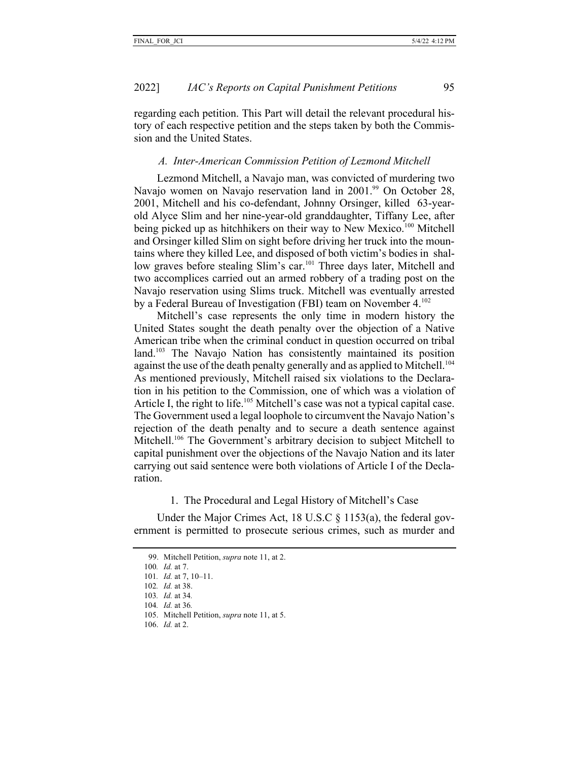regarding each petition. This Part will detail the relevant procedural history of each respective petition and the steps taken by both the Commission and the United States.

#### *A. Inter-American Commission Petition of Lezmond Mitchell*

Lezmond Mitchell, a Navajo man, was convicted of murdering two Navajo women on Navajo reservation land in 2001.<sup>99</sup> On October 28, 2001, Mitchell and his co-defendant, Johnny Orsinger, killed 63-yearold Alyce Slim and her nine-year-old granddaughter, Tiffany Lee, after being picked up as hitchhikers on their way to New Mexico.<sup>100</sup> Mitchell and Orsinger killed Slim on sight before driving her truck into the mountains where they killed Lee, and disposed of both victim's bodies in shallow graves before stealing Slim's car.<sup>101</sup> Three days later, Mitchell and two accomplices carried out an armed robbery of a trading post on the Navajo reservation using Slims truck. Mitchell was eventually arrested by a Federal Bureau of Investigation (FBI) team on November 4.102

Mitchell's case represents the only time in modern history the United States sought the death penalty over the objection of a Native American tribe when the criminal conduct in question occurred on tribal land.<sup>103</sup> The Navajo Nation has consistently maintained its position against the use of the death penalty generally and as applied to Mitchell.<sup>104</sup> As mentioned previously, Mitchell raised six violations to the Declaration in his petition to the Commission, one of which was a violation of Article I, the right to life.<sup>105</sup> Mitchell's case was not a typical capital case. The Government used a legal loophole to circumvent the Navajo Nation's rejection of the death penalty and to secure a death sentence against Mitchell.<sup>106</sup> The Government's arbitrary decision to subject Mitchell to capital punishment over the objections of the Navajo Nation and its later carrying out said sentence were both violations of Article I of the Declaration.

1. The Procedural and Legal History of Mitchell's Case

Under the Major Crimes Act, 18 U.S.C § 1153(a), the federal government is permitted to prosecute serious crimes, such as murder and

104*. Id.* at 36*.*

106. *Id.* at 2.

<sup>99.</sup> Mitchell Petition, *supra* note 11, at 2.

<sup>100</sup>*. Id.* at 7.

<sup>101</sup>*. Id.* at 7, 10–11.

<sup>102</sup>*. Id.* at 38.

<sup>103</sup>*. Id.* at 34*.*

<sup>105.</sup> Mitchell Petition, *supra* note 11, at 5.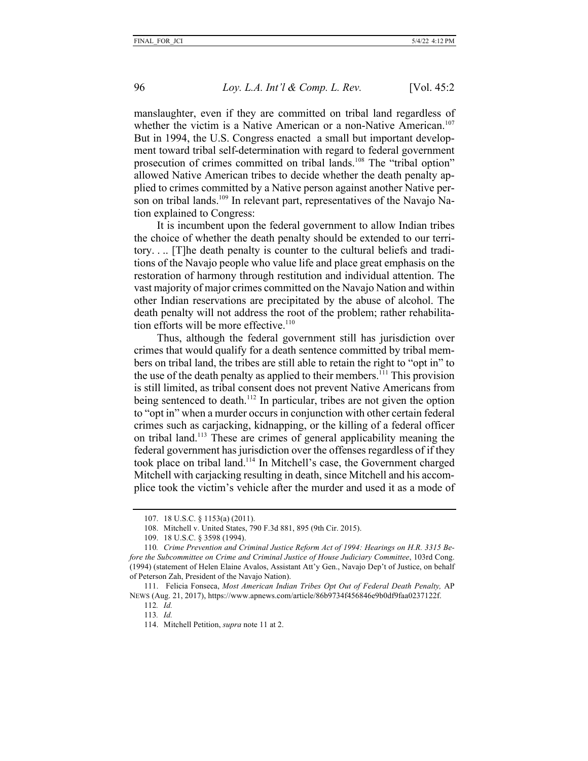manslaughter, even if they are committed on tribal land regardless of whether the victim is a Native American or a non-Native American.<sup>107</sup> But in 1994, the U.S. Congress enacted a small but important development toward tribal self-determination with regard to federal government prosecution of crimes committed on tribal lands.<sup>108</sup> The "tribal option" allowed Native American tribes to decide whether the death penalty applied to crimes committed by a Native person against another Native person on tribal lands.<sup>109</sup> In relevant part, representatives of the Navajo Nation explained to Congress:

It is incumbent upon the federal government to allow Indian tribes the choice of whether the death penalty should be extended to our territory. . .. [T]he death penalty is counter to the cultural beliefs and traditions of the Navajo people who value life and place great emphasis on the restoration of harmony through restitution and individual attention. The vast majority of major crimes committed on the Navajo Nation and within other Indian reservations are precipitated by the abuse of alcohol. The death penalty will not address the root of the problem; rather rehabilitation efforts will be more effective.<sup>110</sup>

Thus, although the federal government still has jurisdiction over crimes that would qualify for a death sentence committed by tribal members on tribal land, the tribes are still able to retain the right to "opt in" to the use of the death penalty as applied to their members.<sup> $11$ </sup> This provision is still limited, as tribal consent does not prevent Native Americans from being sentenced to death.<sup>112</sup> In particular, tribes are not given the option to "opt in" when a murder occurs in conjunction with other certain federal crimes such as carjacking, kidnapping, or the killing of a federal officer on tribal land.113 These are crimes of general applicability meaning the federal government has jurisdiction over the offenses regardless of if they took place on tribal land.114 In Mitchell's case, the Government charged Mitchell with carjacking resulting in death, since Mitchell and his accomplice took the victim's vehicle after the murder and used it as a mode of

<sup>107.</sup> 18 U.S.C. § 1153(a) (2011).

<sup>108.</sup> Mitchell v. United States, 790 F.3d 881, 895 (9th Cir. 2015).

<sup>109.</sup> 18 U.S.C. § 3598 (1994).

<sup>110</sup>*. Crime Prevention and Criminal Justice Reform Act of 1994: Hearings on H.R. 3315 Before the Subcommittee on Crime and Criminal Justice of House Judiciary Committee*, 103rd Cong. (1994) (statement of Helen Elaine Avalos, Assistant Att'y Gen., Navajo Dep't of Justice, on behalf of Peterson Zah, President of the Navajo Nation).

<sup>111.</sup> Felicia Fonseca, *Most American Indian Tribes Opt Out of Federal Death Penalty,* AP NEWS (Aug. 21, 2017), https://www.apnews.com/article/86b9734f456846e9b0df9faa0237122f.

<sup>112</sup>*. Id.*

<sup>113</sup>*. Id.* 

<sup>114.</sup> Mitchell Petition, *supra* note 11 at 2.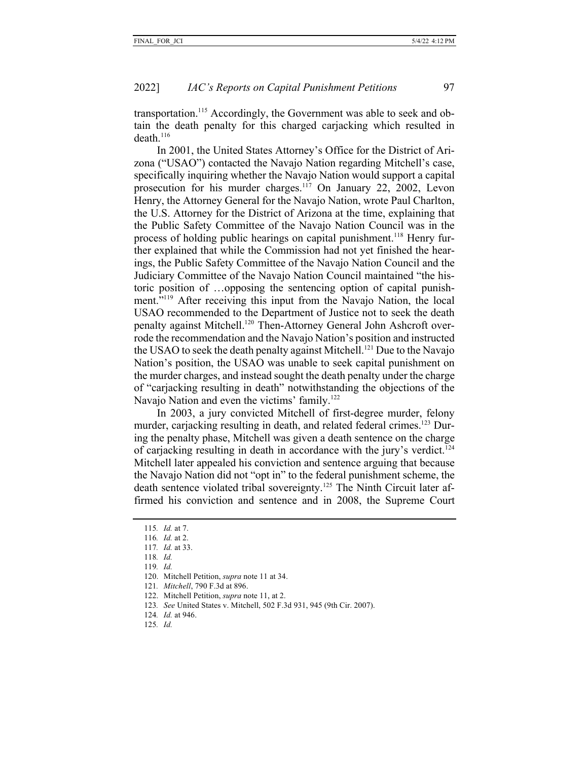transportation.<sup>115</sup> Accordingly, the Government was able to seek and obtain the death penalty for this charged carjacking which resulted in death. $116$ 

In 2001, the United States Attorney's Office for the District of Arizona ("USAO") contacted the Navajo Nation regarding Mitchell's case, specifically inquiring whether the Navajo Nation would support a capital prosecution for his murder charges.<sup>117</sup> On January 22, 2002, Levon Henry, the Attorney General for the Navajo Nation, wrote Paul Charlton, the U.S. Attorney for the District of Arizona at the time, explaining that the Public Safety Committee of the Navajo Nation Council was in the process of holding public hearings on capital punishment.<sup>118</sup> Henry further explained that while the Commission had not yet finished the hearings, the Public Safety Committee of the Navajo Nation Council and the Judiciary Committee of the Navajo Nation Council maintained "the historic position of …opposing the sentencing option of capital punishment."<sup>119</sup> After receiving this input from the Navajo Nation, the local USAO recommended to the Department of Justice not to seek the death penalty against Mitchell.<sup>120</sup> Then-Attorney General John Ashcroft overrode the recommendation and the Navajo Nation's position and instructed the USAO to seek the death penalty against Mitchell.<sup>121</sup> Due to the Navajo Nation's position, the USAO was unable to seek capital punishment on the murder charges, and instead sought the death penalty under the charge of "carjacking resulting in death" notwithstanding the objections of the Navajo Nation and even the victims' family.<sup>122</sup>

In 2003, a jury convicted Mitchell of first-degree murder, felony murder, carjacking resulting in death, and related federal crimes.<sup>123</sup> During the penalty phase, Mitchell was given a death sentence on the charge of carjacking resulting in death in accordance with the jury's verdict.124 Mitchell later appealed his conviction and sentence arguing that because the Navajo Nation did not "opt in" to the federal punishment scheme, the death sentence violated tribal sovereignty.<sup>125</sup> The Ninth Circuit later affirmed his conviction and sentence and in 2008, the Supreme Court

- 118*. Id.*
- 119*. Id.*
- 120. Mitchell Petition, *supra* note 11 at 34.
- 121*. Mitchell*, 790 F.3d at 896.
- 122. Mitchell Petition, *supra* note 11, at 2.
- 123*. See* United States v. Mitchell, 502 F.3d 931, 945 (9th Cir. 2007).
- 124*. Id.* at 946.
- 125*. Id.*

<sup>115</sup>*. Id.* at 7.

<sup>116</sup>*. Id.* at 2.

<sup>117</sup>*. Id.* at 33.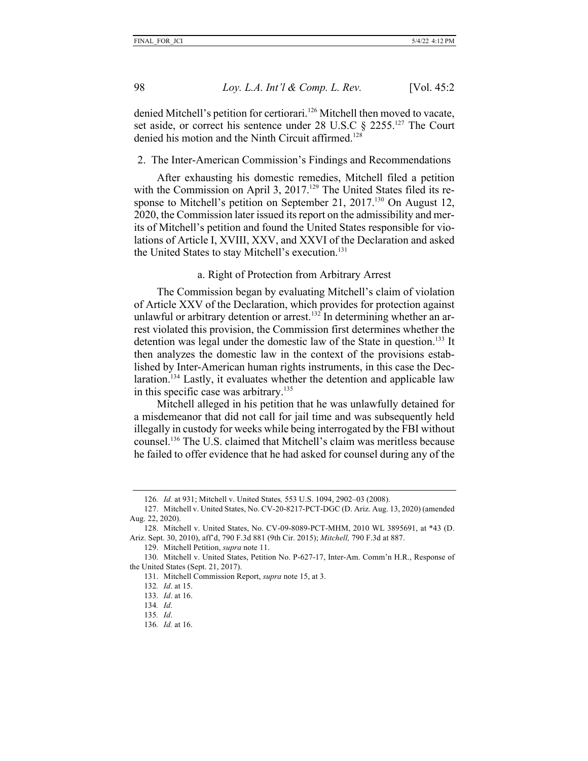denied Mitchell's petition for certiorari.<sup>126</sup> Mitchell then moved to vacate, set aside, or correct his sentence under 28 U.S.C § 2255.<sup>127</sup> The Court denied his motion and the Ninth Circuit affirmed.<sup>128</sup>

#### 2. The Inter-American Commission's Findings and Recommendations

After exhausting his domestic remedies, Mitchell filed a petition with the Commission on April 3, 2017.<sup>129</sup> The United States filed its response to Mitchell's petition on September 21, 2017.<sup>130</sup> On August 12, 2020, the Commission later issued its report on the admissibility and merits of Mitchell's petition and found the United States responsible for violations of Article I, XVIII, XXV, and XXVI of the Declaration and asked the United States to stay Mitchell's execution.<sup>131</sup>

a. Right of Protection from Arbitrary Arrest

The Commission began by evaluating Mitchell's claim of violation of Article XXV of the Declaration, which provides for protection against unlawful or arbitrary detention or arrest.<sup>132</sup> In determining whether an arrest violated this provision, the Commission first determines whether the detention was legal under the domestic law of the State in question.<sup>133</sup> It then analyzes the domestic law in the context of the provisions established by Inter-American human rights instruments, in this case the Declaration.<sup>134</sup> Lastly, it evaluates whether the detention and applicable law in this specific case was arbitrary.<sup>135</sup>

Mitchell alleged in his petition that he was unlawfully detained for a misdemeanor that did not call for jail time and was subsequently held illegally in custody for weeks while being interrogated by the FBI without counsel.136 The U.S. claimed that Mitchell's claim was meritless because he failed to offer evidence that he had asked for counsel during any of the

131. Mitchell Commission Report, *supra* note 15, at 3.

<sup>126</sup>*. Id.* at 931; Mitchell v. United States*,* 553 U.S. 1094, 2902–03 (2008).

<sup>127.</sup> Mitchell v. United States, No. CV-20-8217-PCT-DGC (D. Ariz. Aug. 13, 2020) (amended Aug. 22, 2020).

<sup>128.</sup> Mitchell v. United States, No. CV-09-8089-PCT-MHM, 2010 WL 3895691, at \*43 (D. Ariz. Sept. 30, 2010), aff'd, 790 F.3d 881 (9th Cir. 2015); *Mitchell,* 790 F.3d at 887.

<sup>129.</sup> Mitchell Petition, *supra* note 11.

<sup>130.</sup> Mitchell v. United States, Petition No. P-627-17, Inter-Am. Comm'n H.R., Response of the United States (Sept. 21, 2017).

<sup>132</sup>*. Id*. at 15.

<sup>133.</sup> *Id*. at 16.

<sup>134</sup>*. Id*.

<sup>135</sup>*. Id*.

<sup>136</sup>*. Id.* at 16.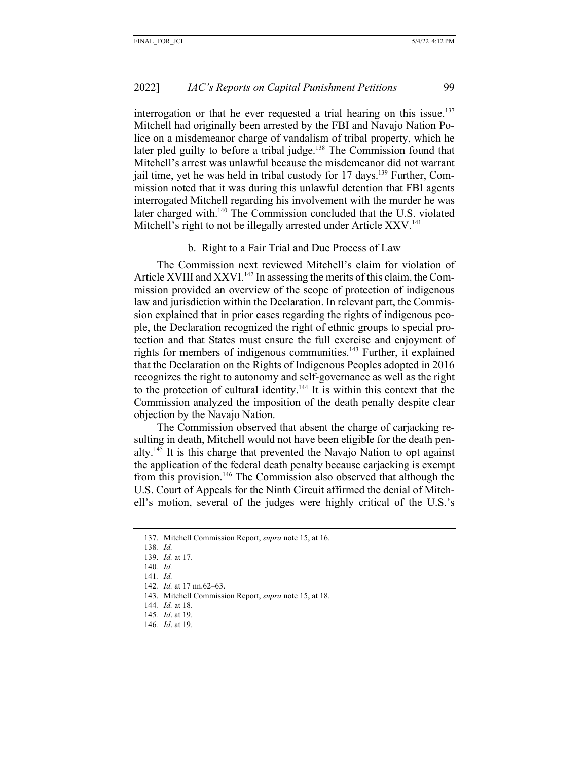interrogation or that he ever requested a trial hearing on this issue.<sup>137</sup> Mitchell had originally been arrested by the FBI and Navajo Nation Police on a misdemeanor charge of vandalism of tribal property, which he later pled guilty to before a tribal judge.<sup>138</sup> The Commission found that Mitchell's arrest was unlawful because the misdemeanor did not warrant jail time, yet he was held in tribal custody for  $17$  days.<sup>139</sup> Further, Commission noted that it was during this unlawful detention that FBI agents interrogated Mitchell regarding his involvement with the murder he was later charged with.<sup>140</sup> The Commission concluded that the U.S. violated Mitchell's right to not be illegally arrested under Article XXV.<sup>141</sup>

#### b. Right to a Fair Trial and Due Process of Law

The Commission next reviewed Mitchell's claim for violation of Article XVIII and XXVI.<sup>142</sup> In assessing the merits of this claim, the Commission provided an overview of the scope of protection of indigenous law and jurisdiction within the Declaration. In relevant part, the Commission explained that in prior cases regarding the rights of indigenous people, the Declaration recognized the right of ethnic groups to special protection and that States must ensure the full exercise and enjoyment of rights for members of indigenous communities.<sup>143</sup> Further, it explained that the Declaration on the Rights of Indigenous Peoples adopted in 2016 recognizes the right to autonomy and self-governance as well as the right to the protection of cultural identity.144 It is within this context that the Commission analyzed the imposition of the death penalty despite clear objection by the Navajo Nation.

The Commission observed that absent the charge of carjacking resulting in death, Mitchell would not have been eligible for the death penalty.145 It is this charge that prevented the Navajo Nation to opt against the application of the federal death penalty because carjacking is exempt from this provision.146 The Commission also observed that although the U.S. Court of Appeals for the Ninth Circuit affirmed the denial of Mitchell's motion, several of the judges were highly critical of the U.S.'s

- 141*. Id.*
- 142*. Id.* at 17 nn.62–63.
- 143. Mitchell Commission Report, *supra* note 15, at 18.
- 144*. Id.* at 18.
- 145*. Id*. at 19.
- 146*. Id*. at 19.

<sup>137.</sup> Mitchell Commission Report, *supra* note 15, at 16.

<sup>138</sup>*. Id.*

<sup>139.</sup> *Id.* at 17.

<sup>140</sup>*. Id.*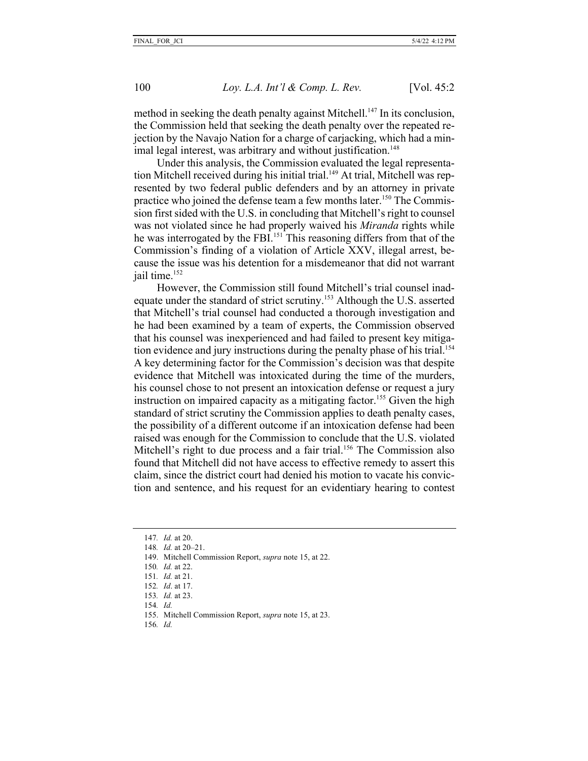method in seeking the death penalty against Mitchell.<sup>147</sup> In its conclusion, the Commission held that seeking the death penalty over the repeated rejection by the Navajo Nation for a charge of carjacking, which had a minimal legal interest, was arbitrary and without justification.<sup>148</sup>

Under this analysis, the Commission evaluated the legal representation Mitchell received during his initial trial.<sup>149</sup> At trial, Mitchell was represented by two federal public defenders and by an attorney in private practice who joined the defense team a few months later.<sup>150</sup> The Commission first sided with the U.S. in concluding that Mitchell's right to counsel was not violated since he had properly waived his *Miranda* rights while he was interrogated by the FBI.<sup>151</sup> This reasoning differs from that of the Commission's finding of a violation of Article XXV, illegal arrest, because the issue was his detention for a misdemeanor that did not warrant jail time.<sup>152</sup>

However, the Commission still found Mitchell's trial counsel inadequate under the standard of strict scrutiny.153 Although the U.S. asserted that Mitchell's trial counsel had conducted a thorough investigation and he had been examined by a team of experts, the Commission observed that his counsel was inexperienced and had failed to present key mitigation evidence and jury instructions during the penalty phase of his trial.<sup>154</sup> A key determining factor for the Commission's decision was that despite evidence that Mitchell was intoxicated during the time of the murders, his counsel chose to not present an intoxication defense or request a jury instruction on impaired capacity as a mitigating factor.<sup>155</sup> Given the high standard of strict scrutiny the Commission applies to death penalty cases, the possibility of a different outcome if an intoxication defense had been raised was enough for the Commission to conclude that the U.S. violated Mitchell's right to due process and a fair trial.<sup>156</sup> The Commission also found that Mitchell did not have access to effective remedy to assert this claim, since the district court had denied his motion to vacate his conviction and sentence, and his request for an evidentiary hearing to contest

- 149. Mitchell Commission Report, *supra* note 15, at 22.
- 150*. Id.* at 22.
- 151*. Id.* at 21.
- 152*. Id*. at 17.
- 153*. Id.* at 23.
- 154*. Id.*
- 155. Mitchell Commission Report, *supra* note 15, at 23.
- 156*. Id.*

<sup>147</sup>*. Id.* at 20.

<sup>148</sup>*. Id.* at 20–21.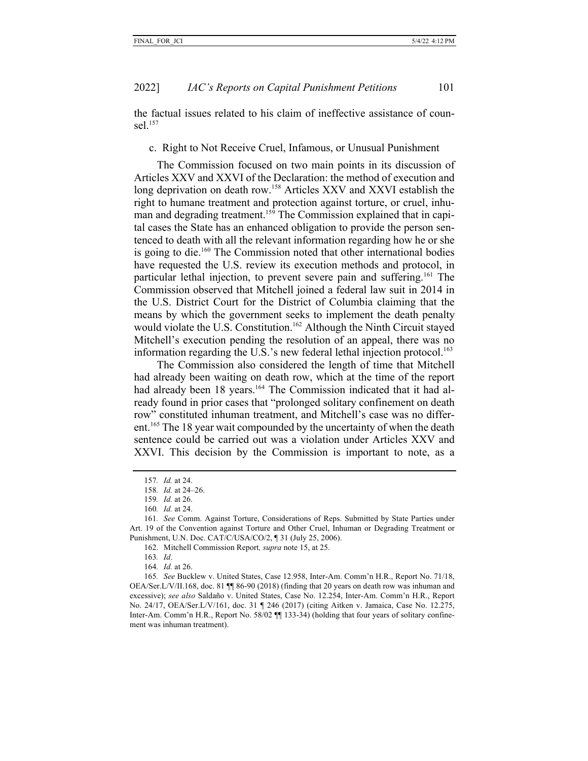the factual issues related to his claim of ineffective assistance of counsel.157

## c. Right to Not Receive Cruel, Infamous, or Unusual Punishment

The Commission focused on two main points in its discussion of Articles XXV and XXVI of the Declaration: the method of execution and long deprivation on death row.<sup>158</sup> Articles XXV and XXVI establish the right to humane treatment and protection against torture, or cruel, inhuman and degrading treatment.<sup>159</sup> The Commission explained that in capital cases the State has an enhanced obligation to provide the person sentenced to death with all the relevant information regarding how he or she is going to die.160 The Commission noted that other international bodies have requested the U.S. review its execution methods and protocol, in particular lethal injection, to prevent severe pain and suffering.161 The Commission observed that Mitchell joined a federal law suit in 2014 in the U.S. District Court for the District of Columbia claiming that the means by which the government seeks to implement the death penalty would violate the U.S. Constitution.<sup>162</sup> Although the Ninth Circuit stayed Mitchell's execution pending the resolution of an appeal, there was no information regarding the U.S.'s new federal lethal injection protocol.<sup>163</sup>

The Commission also considered the length of time that Mitchell had already been waiting on death row, which at the time of the report had already been 18 years.<sup>164</sup> The Commission indicated that it had already found in prior cases that "prolonged solitary confinement on death row" constituted inhuman treatment, and Mitchell's case was no different.<sup>165</sup> The 18 year wait compounded by the uncertainty of when the death sentence could be carried out was a violation under Articles XXV and XXVI. This decision by the Commission is important to note, as a

162. Mitchell Commission Report*, supra* note 15, at 25.

163*. Id*.

164*. Id.* at 26.

<sup>157</sup>*. Id.* at 24.

<sup>158</sup>*. Id.* at 24–26.

<sup>159</sup>*. Id.* at 26.

<sup>160</sup>*. Id.* at 24.

<sup>161</sup>*. See* Comm. Against Torture, Considerations of Reps. Submitted by State Parties under Art. 19 of the Convention against Torture and Other Cruel, Inhuman or Degrading Treatment or Punishment, U.N. Doc. CAT/C/USA/CO/2, ¶ 31 (July 25, 2006).

<sup>165</sup>*. See* Bucklew v. United States, Case 12.958, Inter-Am. Comm'n H.R., Report No. 71/18, OEA/Ser.L/V/II.168, doc. 81 ¶¶ 86-90 (2018) (finding that 20 years on death row was inhuman and excessive); *see also* Saldaño v. United States, Case No. 12.254, Inter-Am. Comm'n H.R., Report No. 24/17, OEA/Ser.L/V/161, doc. 31 ¶ 246 (2017) (citing Aitken v. Jamaica, Case No. 12.275, Inter-Am. Comm'n H.R., Report No. 58/02  $\P$  133-34) (holding that four years of solitary confinement was inhuman treatment).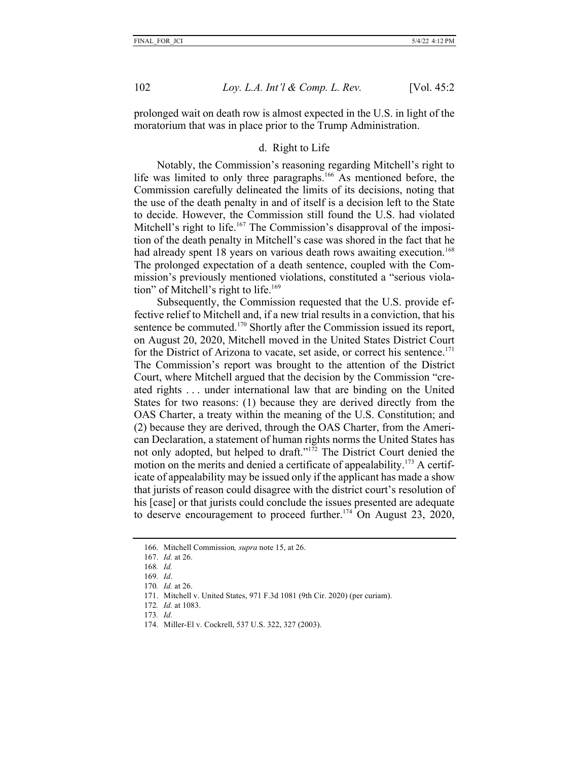prolonged wait on death row is almost expected in the U.S. in light of the moratorium that was in place prior to the Trump Administration.

#### d. Right to Life

Notably, the Commission's reasoning regarding Mitchell's right to life was limited to only three paragraphs.166 As mentioned before, the Commission carefully delineated the limits of its decisions, noting that the use of the death penalty in and of itself is a decision left to the State to decide. However, the Commission still found the U.S. had violated Mitchell's right to life.<sup>167</sup> The Commission's disapproval of the imposition of the death penalty in Mitchell's case was shored in the fact that he had already spent 18 years on various death rows awaiting execution.<sup>168</sup> The prolonged expectation of a death sentence, coupled with the Commission's previously mentioned violations, constituted a "serious violation" of Mitchell's right to life.<sup>169</sup>

Subsequently, the Commission requested that the U.S. provide effective relief to Mitchell and, if a new trial results in a conviction, that his sentence be commuted.<sup>170</sup> Shortly after the Commission issued its report, on August 20, 2020, Mitchell moved in the United States District Court for the District of Arizona to vacate, set aside, or correct his sentence.<sup>171</sup> The Commission's report was brought to the attention of the District Court, where Mitchell argued that the decision by the Commission "created rights . . . under international law that are binding on the United States for two reasons: (1) because they are derived directly from the OAS Charter, a treaty within the meaning of the U.S. Constitution; and (2) because they are derived, through the OAS Charter, from the American Declaration, a statement of human rights norms the United States has not only adopted, but helped to draft."172 The District Court denied the motion on the merits and denied a certificate of appealability.<sup>173</sup> A certificate of appealability may be issued only if the applicant has made a show that jurists of reason could disagree with the district court's resolution of his [case] or that jurists could conclude the issues presented are adequate to deserve encouragement to proceed further.<sup>174</sup> On August 23, 2020,

- 169*. Id*.
- 170*. Id.* at 26.

- 172*. Id.* at 1083.
- 173*. Id.*

<sup>166.</sup> Mitchell Commission*, supra* note 15, at 26.

<sup>167.</sup> *Id.* at 26.

<sup>168</sup>*. Id.* 

<sup>171.</sup> Mitchell v. United States, 971 F.3d 1081 (9th Cir. 2020) (per curiam).

<sup>174.</sup> Miller-El v. Cockrell, 537 U.S. 322, 327 (2003).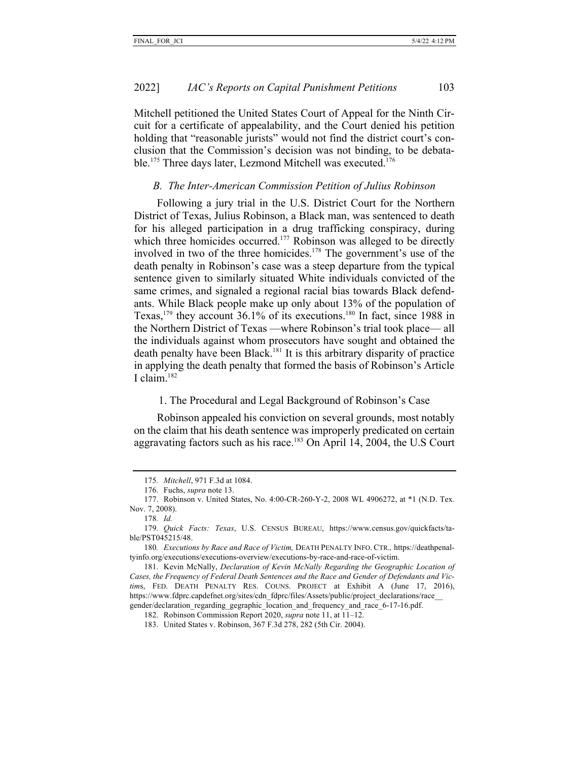Mitchell petitioned the United States Court of Appeal for the Ninth Circuit for a certificate of appealability, and the Court denied his petition holding that "reasonable jurists" would not find the district court's conclusion that the Commission's decision was not binding, to be debatable.<sup>175</sup> Three days later, Lezmond Mitchell was executed.<sup>176</sup>

#### *B. The Inter-American Commission Petition of Julius Robinson*

Following a jury trial in the U.S. District Court for the Northern District of Texas, Julius Robinson, a Black man, was sentenced to death for his alleged participation in a drug trafficking conspiracy, during which three homicides occurred.<sup>177</sup> Robinson was alleged to be directly involved in two of the three homicides.<sup>178</sup> The government's use of the death penalty in Robinson's case was a steep departure from the typical sentence given to similarly situated White individuals convicted of the same crimes, and signaled a regional racial bias towards Black defendants. While Black people make up only about 13% of the population of Texas,<sup>179</sup> they account 36.1% of its executions.<sup>180</sup> In fact, since 1988 in the Northern District of Texas —where Robinson's trial took place— all the individuals against whom prosecutors have sought and obtained the death penalty have been Black.<sup>181</sup> It is this arbitrary disparity of practice in applying the death penalty that formed the basis of Robinson's Article I claim.182

## 1. The Procedural and Legal Background of Robinson's Case

Robinson appealed his conviction on several grounds, most notably on the claim that his death sentence was improperly predicated on certain aggravating factors such as his race.183 On April 14, 2004, the U.S Court

<sup>175</sup>*. Mitchell*, 971 F.3d at 1084.

<sup>176.</sup> Fuchs, *supra* note 13.

<sup>177.</sup> Robinson v. United States, No. 4:00-CR-260-Y-2, 2008 WL 4906272, at \*1 (N.D. Tex. Nov. 7, 2008).

<sup>178</sup>*. Id.*

<sup>179.</sup> *Quick Facts: Texas*, U.S. CENSUS BUREAU, https://www.census.gov/quickfacts/table/PST045215/48.

<sup>180</sup>*. Executions by Race and Race of Victim,* DEATH PENALTY INFO. CTR.*,* https://deathpenaltyinfo.org/executions/executions-overview/executions-by-race-and-race-of-victim.

<sup>181.</sup> Kevin McNally, *Declaration of Kevin McNally Regarding the Geographic Location of Cases, the Frequency of Federal Death Sentences and the Race and Gender of Defendants and Victim*s, FED. DEATH PENALTY RES. COUNS. PROJECT at Exhibit A (June 17, 2016), https://www.fdprc.capdefnet.org/sites/cdn\_fdprc/files/Assets/public/project\_declarations/race gender/declaration\_regarding\_gegraphic\_location\_and\_frequency\_and\_race\_6-17-16.pdf.

<sup>182.</sup> Robinson Commission Report 2020, *supra* note 11, at 11–12.

<sup>183.</sup> United States v. Robinson, 367 F.3d 278, 282 (5th Cir. 2004).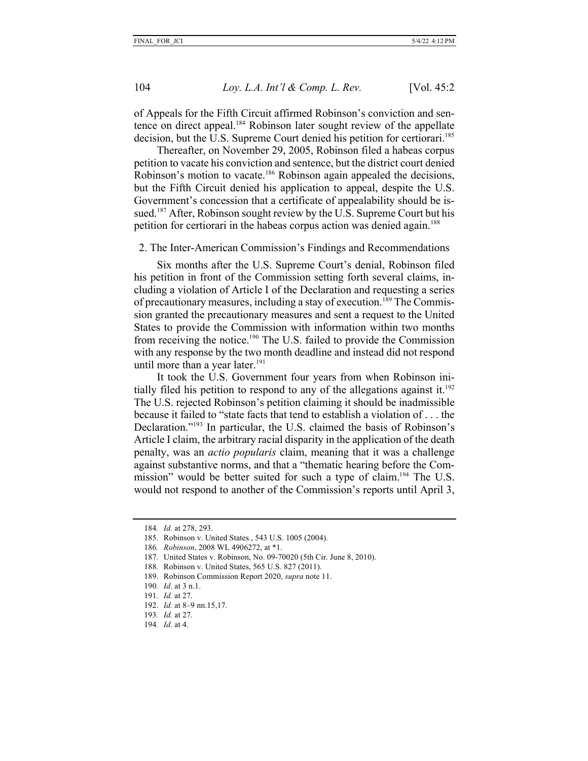of Appeals for the Fifth Circuit affirmed Robinson's conviction and sentence on direct appeal.<sup>184</sup> Robinson later sought review of the appellate decision, but the U.S. Supreme Court denied his petition for certiorari.<sup>185</sup>

Thereafter, on November 29, 2005, Robinson filed a habeas corpus petition to vacate his conviction and sentence, but the district court denied Robinson's motion to vacate.<sup>186</sup> Robinson again appealed the decisions, but the Fifth Circuit denied his application to appeal, despite the U.S. Government's concession that a certificate of appealability should be issued.<sup>187</sup> After, Robinson sought review by the U.S. Supreme Court but his petition for certiorari in the habeas corpus action was denied again.<sup>188</sup>

2. The Inter-American Commission's Findings and Recommendations

Six months after the U.S. Supreme Court's denial, Robinson filed his petition in front of the Commission setting forth several claims, including a violation of Article I of the Declaration and requesting a series of precautionary measures, including a stay of execution.189 The Commission granted the precautionary measures and sent a request to the United States to provide the Commission with information within two months from receiving the notice.190 The U.S. failed to provide the Commission with any response by the two month deadline and instead did not respond until more than a year later. $191$ 

It took the U.S. Government four years from when Robinson initially filed his petition to respond to any of the allegations against it.<sup>192</sup> The U.S. rejected Robinson's petition claiming it should be inadmissible because it failed to "state facts that tend to establish a violation of . . . the Declaration."193 In particular, the U.S. claimed the basis of Robinson's Article I claim, the arbitrary racial disparity in the application of the death penalty, was an *actio popularis* claim, meaning that it was a challenge against substantive norms, and that a "thematic hearing before the Commission" would be better suited for such a type of claim.<sup>194</sup> The U.S. would not respond to another of the Commission's reports until April 3,

<sup>184</sup>*. Id.* at 278, 293.

<sup>185.</sup> Robinson v. United States*.*, 543 U.S. 1005 (2004).

<sup>186</sup>*. Robinson*, 2008 WL 4906272, at \*1.

<sup>187.</sup> United States v. Robinson, No. 09-70020 (5th Cir. June 8, 2010).

<sup>188.</sup> Robinson v. United States, 565 U.S. 827 (2011).

<sup>189.</sup> Robinson Commission Report 2020, *supra* note 11.

<sup>190</sup>*. Id*. at 3 n.1.

<sup>191</sup>*. Id.* at 27.

<sup>192.</sup> *Id.* at 8–9 nn.15,17.

<sup>193</sup>*. Id.* at 27.

<sup>194</sup>*. Id.* at 4.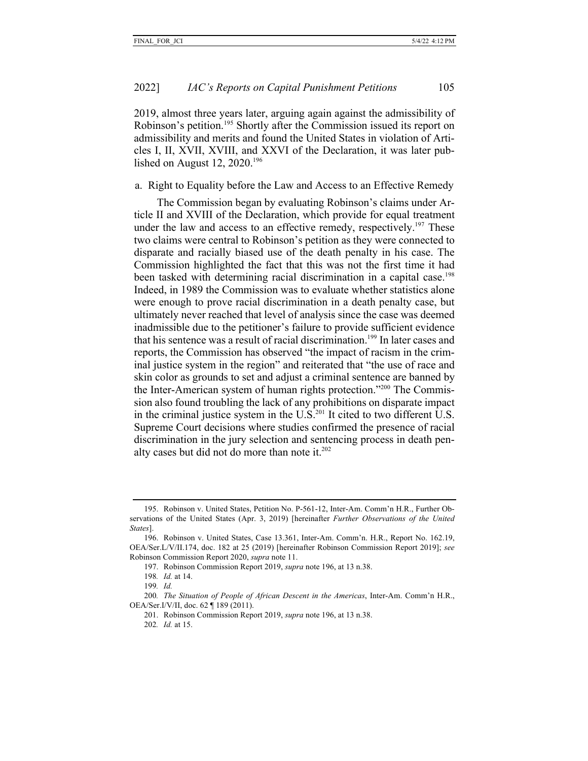2019, almost three years later, arguing again against the admissibility of Robinson's petition.<sup>195</sup> Shortly after the Commission issued its report on admissibility and merits and found the United States in violation of Articles I, II, XVII, XVIII, and XXVI of the Declaration, it was later published on August 12, 2020.<sup>196</sup>

#### a. Right to Equality before the Law and Access to an Effective Remedy

The Commission began by evaluating Robinson's claims under Article II and XVIII of the Declaration, which provide for equal treatment under the law and access to an effective remedy, respectively.<sup>197</sup> These two claims were central to Robinson's petition as they were connected to disparate and racially biased use of the death penalty in his case. The Commission highlighted the fact that this was not the first time it had been tasked with determining racial discrimination in a capital case.<sup>198</sup> Indeed, in 1989 the Commission was to evaluate whether statistics alone were enough to prove racial discrimination in a death penalty case, but ultimately never reached that level of analysis since the case was deemed inadmissible due to the petitioner's failure to provide sufficient evidence that his sentence was a result of racial discrimination.<sup>199</sup> In later cases and reports, the Commission has observed "the impact of racism in the criminal justice system in the region" and reiterated that "the use of race and skin color as grounds to set and adjust a criminal sentence are banned by the Inter-American system of human rights protection."200 The Commission also found troubling the lack of any prohibitions on disparate impact in the criminal justice system in the  $U.S.^{201}$  It cited to two different U.S. Supreme Court decisions where studies confirmed the presence of racial discrimination in the jury selection and sentencing process in death penalty cases but did not do more than note it. $202$ 

<sup>195.</sup> Robinson v. United States, Petition No. P-561-12, Inter-Am. Comm'n H.R., Further Observations of the United States (Apr. 3, 2019) [hereinafter *Further Observations of the United States*].

<sup>196.</sup> Robinson v. United States, Case 13.361, Inter-Am. Comm'n. H.R., Report No. 162.19, OEA/Ser.L/V/II.174, doc. 182 at 25 (2019) [hereinafter Robinson Commission Report 2019]; *see*  Robinson Commission Report 2020, *supra* note 11.

<sup>197.</sup> Robinson Commission Report 2019, *supra* note 196, at 13 n.38.

<sup>198</sup>*. Id.* at 14.

<sup>199</sup>*. Id.* 

<sup>200</sup>*. The Situation of People of African Descent in the Americas*, Inter-Am. Comm'n H.R., OEA/Ser.I/V/II, doc. 62 ¶ 189 (2011).

<sup>201.</sup> Robinson Commission Report 2019, *supra* note 196, at 13 n.38. 202*. Id.* at 15.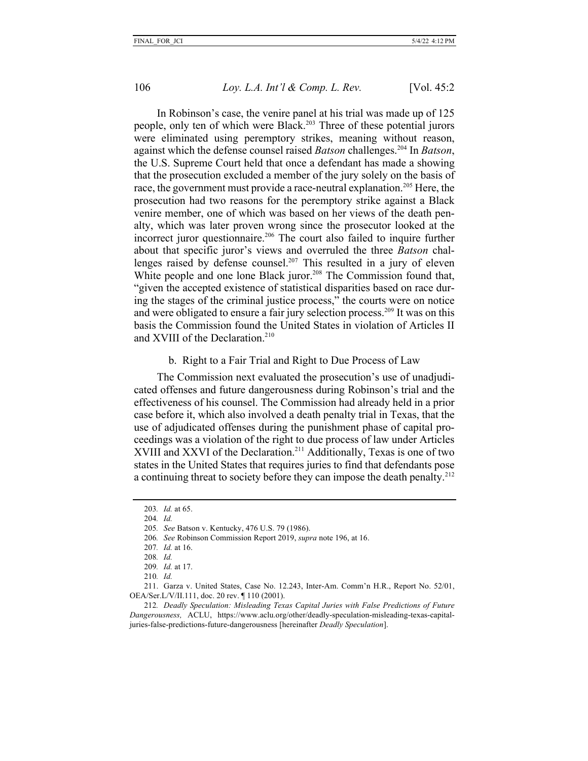In Robinson's case, the venire panel at his trial was made up of 125 people, only ten of which were Black.<sup>203</sup> Three of these potential jurors were eliminated using peremptory strikes, meaning without reason, against which the defense counsel raised *Batson* challenges.204 In *Batson*, the U.S. Supreme Court held that once a defendant has made a showing that the prosecution excluded a member of the jury solely on the basis of race, the government must provide a race-neutral explanation.<sup>205</sup> Here, the prosecution had two reasons for the peremptory strike against a Black venire member, one of which was based on her views of the death penalty, which was later proven wrong since the prosecutor looked at the incorrect juror questionnaire.<sup>206</sup> The court also failed to inquire further about that specific juror's views and overruled the three *Batson* challenges raised by defense counsel.<sup>207</sup> This resulted in a jury of eleven White people and one lone Black juror.<sup>208</sup> The Commission found that, "given the accepted existence of statistical disparities based on race during the stages of the criminal justice process," the courts were on notice and were obligated to ensure a fair jury selection process.209 It was on this basis the Commission found the United States in violation of Articles II and XVIII of the Declaration.<sup>210</sup>

## b. Right to a Fair Trial and Right to Due Process of Law

The Commission next evaluated the prosecution's use of unadjudicated offenses and future dangerousness during Robinson's trial and the effectiveness of his counsel. The Commission had already held in a prior case before it, which also involved a death penalty trial in Texas, that the use of adjudicated offenses during the punishment phase of capital proceedings was a violation of the right to due process of law under Articles XVIII and XXVI of the Declaration.<sup>211</sup> Additionally, Texas is one of two states in the United States that requires juries to find that defendants pose a continuing threat to society before they can impose the death penalty.<sup>212</sup>

208*. Id.*

<sup>203</sup>*. Id.* at 65.

<sup>204</sup>*. Id.* 

<sup>205</sup>*. See* Batson v. Kentucky, 476 U.S. 79 (1986).

<sup>206</sup>*. See* Robinson Commission Report 2019, *supra* note 196, at 16.

<sup>207</sup>*. Id.* at 16.

<sup>209</sup>*. Id.* at 17. 210*. Id.*

<sup>211.</sup> Garza v. United States, Case No. 12.243, Inter-Am. Comm'n H.R., Report No. 52/01, OEA/Ser.L/V/II.111, doc. 20 rev. ¶ 110 (2001).

<sup>212</sup>*. Deadly Speculation: Misleading Texas Capital Juries with False Predictions of Future Dangerousness,* ACLU, https://www.aclu.org/other/deadly-speculation-misleading-texas-capitaljuries-false-predictions-future-dangerousness [hereinafter *Deadly Speculation*].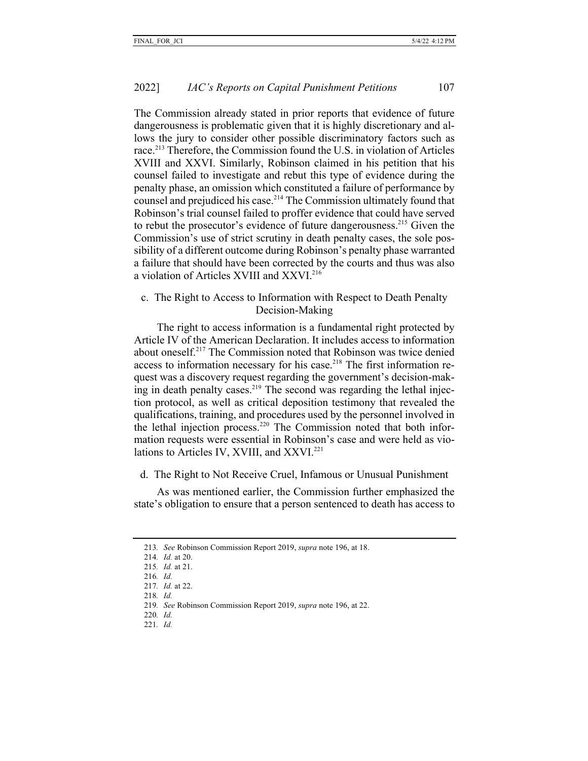The Commission already stated in prior reports that evidence of future dangerousness is problematic given that it is highly discretionary and allows the jury to consider other possible discriminatory factors such as race.<sup>213</sup> Therefore, the Commission found the U.S. in violation of Articles XVIII and XXVI. Similarly, Robinson claimed in his petition that his counsel failed to investigate and rebut this type of evidence during the penalty phase, an omission which constituted a failure of performance by counsel and prejudiced his case.<sup>214</sup> The Commission ultimately found that Robinson's trial counsel failed to proffer evidence that could have served to rebut the prosecutor's evidence of future dangerousness.<sup>215</sup> Given the Commission's use of strict scrutiny in death penalty cases, the sole possibility of a different outcome during Robinson's penalty phase warranted a failure that should have been corrected by the courts and thus was also a violation of Articles XVIII and XXVI.216

c. The Right to Access to Information with Respect to Death Penalty Decision-Making

The right to access information is a fundamental right protected by Article IV of the American Declaration. It includes access to information about oneself.217 The Commission noted that Robinson was twice denied access to information necessary for his case.<sup>218</sup> The first information request was a discovery request regarding the government's decision-making in death penalty cases.<sup>219</sup> The second was regarding the lethal injection protocol, as well as critical deposition testimony that revealed the qualifications, training, and procedures used by the personnel involved in the lethal injection process.<sup>220</sup> The Commission noted that both information requests were essential in Robinson's case and were held as violations to Articles IV, XVIII, and XXVI.<sup>221</sup>

d. The Right to Not Receive Cruel, Infamous or Unusual Punishment

As was mentioned earlier, the Commission further emphasized the state's obligation to ensure that a person sentenced to death has access to

- 220*. Id.*
- 221*. Id.*

<sup>213</sup>*. See* Robinson Commission Report 2019, *supra* note 196, at 18.

<sup>214</sup>*. Id.* at 20.

<sup>215</sup>*. Id.* at 21.

<sup>216</sup>*. Id.* 

<sup>217</sup>*. Id.* at 22. 218*. Id.* 

<sup>219</sup>*. See* Robinson Commission Report 2019, *supra* note 196, at 22.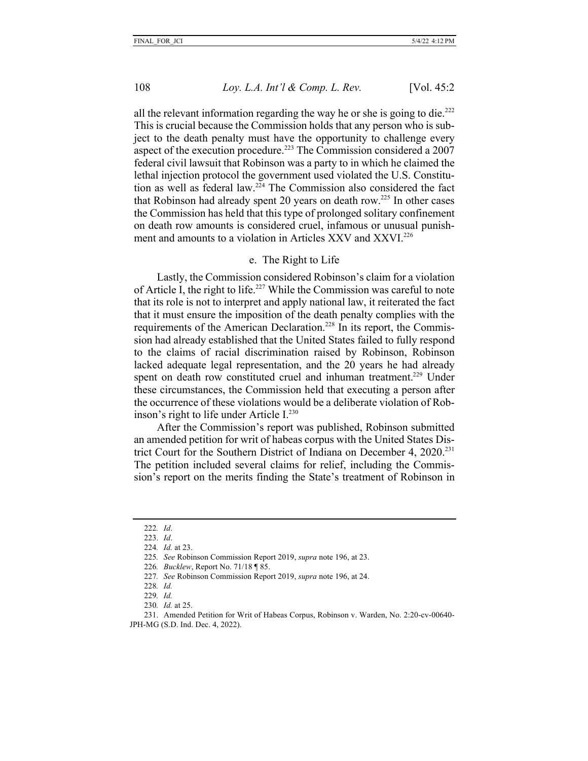all the relevant information regarding the way he or she is going to die.<sup>222</sup> This is crucial because the Commission holds that any person who is subject to the death penalty must have the opportunity to challenge every aspect of the execution procedure.<sup>223</sup> The Commission considered a 2007 federal civil lawsuit that Robinson was a party to in which he claimed the lethal injection protocol the government used violated the U.S. Constitution as well as federal law.<sup>224</sup> The Commission also considered the fact that Robinson had already spent 20 years on death row.<sup>225</sup> In other cases the Commission has held that this type of prolonged solitary confinement on death row amounts is considered cruel, infamous or unusual punishment and amounts to a violation in Articles XXV and XXVI.226

#### e. The Right to Life

Lastly, the Commission considered Robinson's claim for a violation of Article I, the right to life.<sup>227</sup> While the Commission was careful to note that its role is not to interpret and apply national law, it reiterated the fact that it must ensure the imposition of the death penalty complies with the requirements of the American Declaration.<sup>228</sup> In its report, the Commission had already established that the United States failed to fully respond to the claims of racial discrimination raised by Robinson, Robinson lacked adequate legal representation, and the 20 years he had already spent on death row constituted cruel and inhuman treatment.<sup>229</sup> Under these circumstances, the Commission held that executing a person after the occurrence of these violations would be a deliberate violation of Robinson's right to life under Article I.<sup>230</sup>

After the Commission's report was published, Robinson submitted an amended petition for writ of habeas corpus with the United States District Court for the Southern District of Indiana on December 4, 2020.<sup>231</sup> The petition included several claims for relief, including the Commission's report on the merits finding the State's treatment of Robinson in

- 226*. Bucklew*, Report No. 71/18 ¶ 85.
- 227*. See* Robinson Commission Report 2019, *supra* note 196, at 24.

229*. Id.* 

<sup>222</sup>*. Id*.

<sup>223.</sup> *Id*.

<sup>224</sup>*. Id.* at 23.

<sup>225</sup>*. See* Robinson Commission Report 2019, *supra* note 196, at 23.

<sup>228</sup>*. Id.*

<sup>230</sup>*. Id.* at 25.

<sup>231.</sup> Amended Petition for Writ of Habeas Corpus, Robinson v. Warden, No. 2:20-cv-00640- JPH-MG (S.D. Ind. Dec. 4, 2022).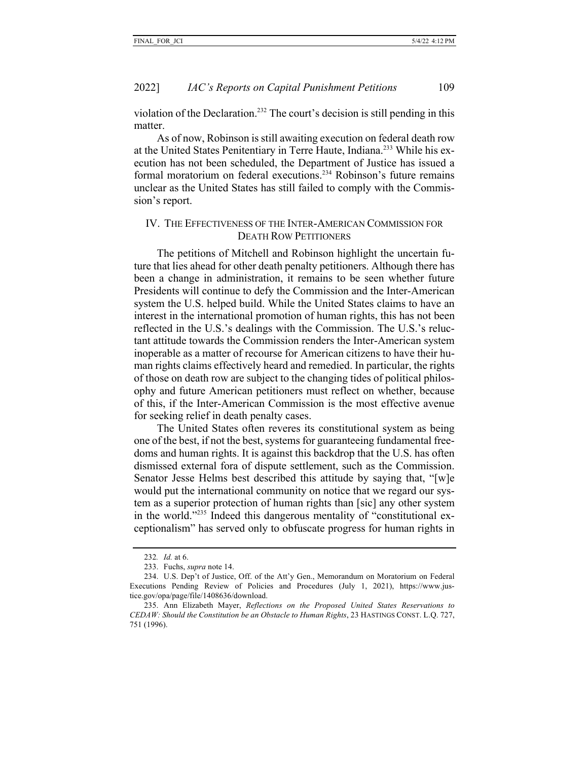violation of the Declaration.232 The court's decision is still pending in this matter.

As of now, Robinson is still awaiting execution on federal death row at the United States Penitentiary in Terre Haute, Indiana.233 While his execution has not been scheduled, the Department of Justice has issued a formal moratorium on federal executions.234 Robinson's future remains unclear as the United States has still failed to comply with the Commission's report.

## IV. THE EFFECTIVENESS OF THE INTER-AMERICAN COMMISSION FOR DEATH ROW PETITIONERS

The petitions of Mitchell and Robinson highlight the uncertain future that lies ahead for other death penalty petitioners. Although there has been a change in administration, it remains to be seen whether future Presidents will continue to defy the Commission and the Inter-American system the U.S. helped build. While the United States claims to have an interest in the international promotion of human rights, this has not been reflected in the U.S.'s dealings with the Commission. The U.S.'s reluctant attitude towards the Commission renders the Inter-American system inoperable as a matter of recourse for American citizens to have their human rights claims effectively heard and remedied. In particular, the rights of those on death row are subject to the changing tides of political philosophy and future American petitioners must reflect on whether, because of this, if the Inter-American Commission is the most effective avenue for seeking relief in death penalty cases.

The United States often reveres its constitutional system as being one of the best, if not the best, systems for guaranteeing fundamental freedoms and human rights. It is against this backdrop that the U.S. has often dismissed external fora of dispute settlement, such as the Commission. Senator Jesse Helms best described this attitude by saying that, "[w]e would put the international community on notice that we regard our system as a superior protection of human rights than [sic] any other system in the world."235 Indeed this dangerous mentality of "constitutional exceptionalism" has served only to obfuscate progress for human rights in

<sup>232</sup>*. Id.* at 6.

<sup>233.</sup> Fuchs, *supra* note 14.

<sup>234.</sup> U.S. Dep't of Justice, Off. of the Att'y Gen., Memorandum on Moratorium on Federal Executions Pending Review of Policies and Procedures (July 1, 2021), https://www.justice.gov/opa/page/file/1408636/download.

<sup>235.</sup> Ann Elizabeth Mayer, *Reflections on the Proposed United States Reservations to CEDAW: Should the Constitution be an Obstacle to Human Rights*, 23 HASTINGS CONST. L.Q. 727, 751 (1996).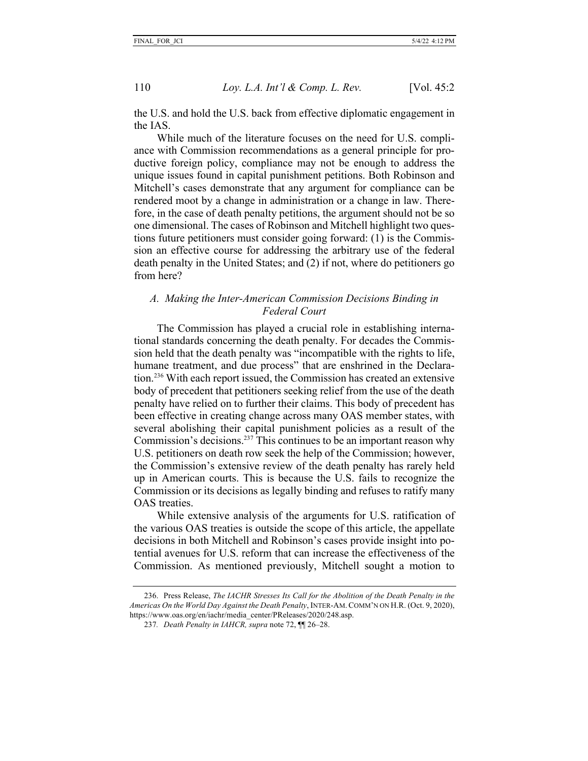the U.S. and hold the U.S. back from effective diplomatic engagement in the IAS.

While much of the literature focuses on the need for U.S. compliance with Commission recommendations as a general principle for productive foreign policy, compliance may not be enough to address the unique issues found in capital punishment petitions. Both Robinson and Mitchell's cases demonstrate that any argument for compliance can be rendered moot by a change in administration or a change in law. Therefore, in the case of death penalty petitions, the argument should not be so one dimensional. The cases of Robinson and Mitchell highlight two questions future petitioners must consider going forward: (1) is the Commission an effective course for addressing the arbitrary use of the federal death penalty in the United States; and (2) if not, where do petitioners go from here?

## *A. Making the Inter-American Commission Decisions Binding in Federal Court*

The Commission has played a crucial role in establishing international standards concerning the death penalty. For decades the Commission held that the death penalty was "incompatible with the rights to life, humane treatment, and due process" that are enshrined in the Declaration.236 With each report issued, the Commission has created an extensive body of precedent that petitioners seeking relief from the use of the death penalty have relied on to further their claims. This body of precedent has been effective in creating change across many OAS member states, with several abolishing their capital punishment policies as a result of the Commission's decisions.<sup>237</sup> This continues to be an important reason why U.S. petitioners on death row seek the help of the Commission; however, the Commission's extensive review of the death penalty has rarely held up in American courts. This is because the U.S. fails to recognize the Commission or its decisions as legally binding and refuses to ratify many OAS treaties.

While extensive analysis of the arguments for U.S. ratification of the various OAS treaties is outside the scope of this article, the appellate decisions in both Mitchell and Robinson's cases provide insight into potential avenues for U.S. reform that can increase the effectiveness of the Commission. As mentioned previously, Mitchell sought a motion to

<sup>236.</sup> Press Release, *The IACHR Stresses Its Call for the Abolition of the Death Penalty in the Americas On the World Day Against the Death Penalty*, INTER-AM.COMM'N ON H.R. (Oct. 9, 2020), https://www.oas.org/en/iachr/media\_center/PReleases/2020/248.asp.

<sup>237</sup>*. Death Penalty in IAHCR, supra* note 72, ¶¶ 26–28.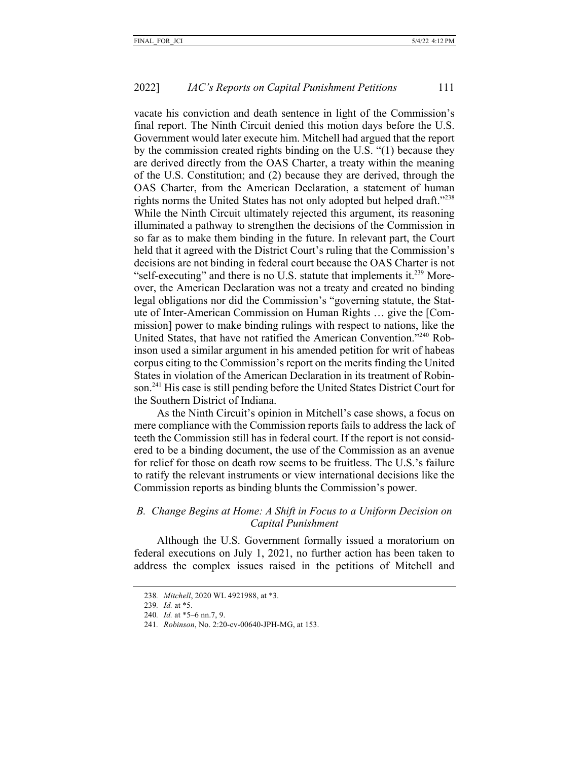vacate his conviction and death sentence in light of the Commission's final report. The Ninth Circuit denied this motion days before the U.S. Government would later execute him. Mitchell had argued that the report by the commission created rights binding on the U.S. "(1) because they are derived directly from the OAS Charter, a treaty within the meaning of the U.S. Constitution; and (2) because they are derived, through the OAS Charter, from the American Declaration, a statement of human rights norms the United States has not only adopted but helped draft."238 While the Ninth Circuit ultimately rejected this argument, its reasoning illuminated a pathway to strengthen the decisions of the Commission in so far as to make them binding in the future. In relevant part, the Court held that it agreed with the District Court's ruling that the Commission's decisions are not binding in federal court because the OAS Charter is not "self-executing" and there is no U.S. statute that implements it.<sup>239</sup> Moreover, the American Declaration was not a treaty and created no binding legal obligations nor did the Commission's "governing statute, the Statute of Inter-American Commission on Human Rights … give the [Commission] power to make binding rulings with respect to nations, like the United States, that have not ratified the American Convention."240 Robinson used a similar argument in his amended petition for writ of habeas corpus citing to the Commission's report on the merits finding the United States in violation of the American Declaration in its treatment of Robinson.241 His case is still pending before the United States District Court for the Southern District of Indiana.

As the Ninth Circuit's opinion in Mitchell's case shows, a focus on mere compliance with the Commission reports fails to address the lack of teeth the Commission still has in federal court. If the report is not considered to be a binding document, the use of the Commission as an avenue for relief for those on death row seems to be fruitless. The U.S.'s failure to ratify the relevant instruments or view international decisions like the Commission reports as binding blunts the Commission's power.

## *B. Change Begins at Home: A Shift in Focus to a Uniform Decision on Capital Punishment*

Although the U.S. Government formally issued a moratorium on federal executions on July 1, 2021, no further action has been taken to address the complex issues raised in the petitions of Mitchell and

<sup>238</sup>*. Mitchell*, 2020 WL 4921988, at \*3.

<sup>239</sup>*. Id.* at \*5.

<sup>240</sup>*. Id.* at \*5–6 nn.7, 9.

<sup>241</sup>*. Robinson*, No. 2:20-cv-00640-JPH-MG, at 153.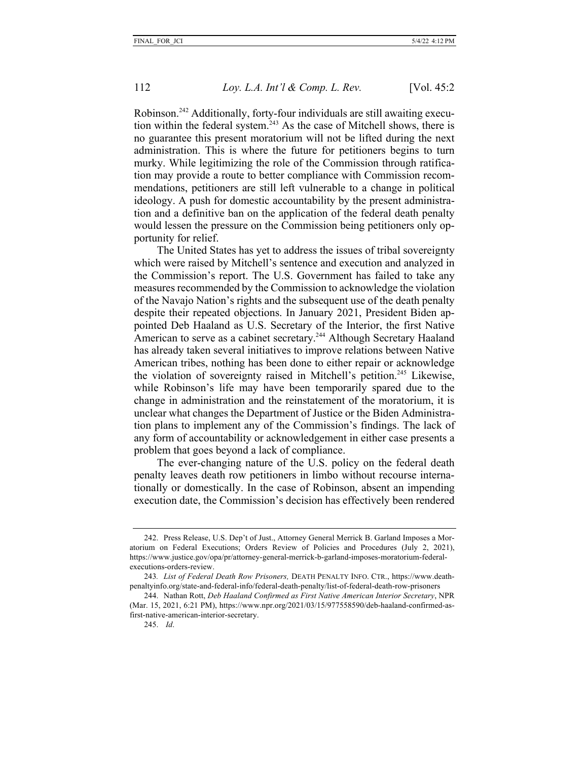Robinson.242 Additionally, forty-four individuals are still awaiting execution within the federal system.<sup>243</sup> As the case of Mitchell shows, there is no guarantee this present moratorium will not be lifted during the next administration. This is where the future for petitioners begins to turn murky. While legitimizing the role of the Commission through ratification may provide a route to better compliance with Commission recommendations, petitioners are still left vulnerable to a change in political ideology. A push for domestic accountability by the present administration and a definitive ban on the application of the federal death penalty would lessen the pressure on the Commission being petitioners only opportunity for relief.

The United States has yet to address the issues of tribal sovereignty which were raised by Mitchell's sentence and execution and analyzed in the Commission's report. The U.S. Government has failed to take any measures recommended by the Commission to acknowledge the violation of the Navajo Nation's rights and the subsequent use of the death penalty despite their repeated objections. In January 2021, President Biden appointed Deb Haaland as U.S. Secretary of the Interior, the first Native American to serve as a cabinet secretary.<sup>244</sup> Although Secretary Haaland has already taken several initiatives to improve relations between Native American tribes, nothing has been done to either repair or acknowledge the violation of sovereignty raised in Mitchell's petition.<sup>245</sup> Likewise, while Robinson's life may have been temporarily spared due to the change in administration and the reinstatement of the moratorium, it is unclear what changes the Department of Justice or the Biden Administration plans to implement any of the Commission's findings. The lack of any form of accountability or acknowledgement in either case presents a problem that goes beyond a lack of compliance.

The ever-changing nature of the U.S. policy on the federal death penalty leaves death row petitioners in limbo without recourse internationally or domestically. In the case of Robinson, absent an impending execution date, the Commission's decision has effectively been rendered

<sup>242.</sup> Press Release, U.S. Dep't of Just., Attorney General Merrick B. Garland Imposes a Moratorium on Federal Executions; Orders Review of Policies and Procedures (July 2, 2021), https://www.justice.gov/opa/pr/attorney-general-merrick-b-garland-imposes-moratorium-federalexecutions-orders-review.

<sup>243</sup>*. List of Federal Death Row Prisoners,* DEATH PENALTY INFO. CTR., https://www.deathpenaltyinfo.org/state-and-federal-info/federal-death-penalty/list-of-federal-death-row-prisoners

<sup>244.</sup> Nathan Rott, *Deb Haaland Confirmed as First Native American Interior Secretary*, NPR (Mar. 15, 2021, 6:21 PM), https://www.npr.org/2021/03/15/977558590/deb-haaland-confirmed-asfirst-native-american-interior-secretary.

<sup>245.</sup> *Id*.